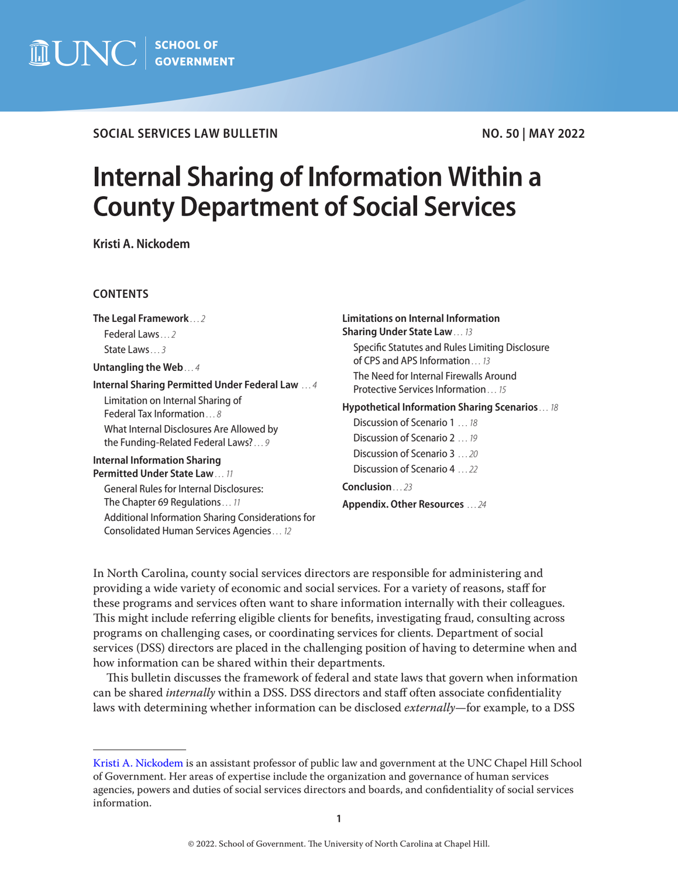

# **SOCIAL SERVICES LAW BULLETIN**

# **NO. 50 | MAY 2022**

# **Internal Sharing of Information Within a County Department of Social Services**

**Kristi A. Nickodem**

## **CONTENTS**

**[The Legal Framework](#page-1-0)** *. . . 2* [Federal Laws](#page-1-0) *. . . 2* [State Laws](#page-2-0) *. . . 3*

**[Untangling the Web](#page-3-0)** *. . . 4*

**[Internal Sharing Permitted Under Federal Law](#page-3-0)**  *. . . 4*

[Limitation on Internal Sharing of](#page-7-0)  [Federal Tax Information](#page-7-0) *. . . 8* [What Internal Disclosures Are Allowed by](#page-8-0)  [the Funding-Related Federal Laws?](#page-8-0) *. . . 9*

#### **[Internal Information Sharing](#page-10-0)  [Permitted Under State Law](#page-10-0)** *. . . 11*

[General Rules for Internal Disclosures:](#page-10-0)  [The Chapter 69 Regulations](#page-10-0) *. . . 11* [Additional Information Sharing Considerations for](#page-11-0)  [Consolidated Human Services Agencies](#page-11-0) *. . . 12*

**[Limitations on Internal Information](#page-12-0)  [Sharing Under State Law](#page-12-0)** *. . . 13* [Specific Statutes and Rules Limiting Disclosure](#page-12-0)  [of CPS and APS Information](#page-12-0) *. . . 13* [The Need for Internal Firewalls Around](#page-14-0)  [Protective Services Information](#page-14-0) *. . . 15* **[Hypothetical Information Sharing Scenarios](#page-17-0)** *. . . 18*

[Discussion of Scenario 1](#page-17-0)  *. . . 18* [Discussion of Scenario 2](#page-18-0)  *. . . 19* [Discussion of Scenario 3](#page-19-0)  *. . . 20* [Discussion of Scenario 4](#page-21-0)  *. . . 22*

**[Conclusion](#page-22-0)** *. . . 23*

**[Appendix. Other Resources](#page-23-0)**  *. . . 24*

In North Carolina, county social services directors are responsible for administering and providing a wide variety of economic and social services. For a variety of reasons, staff for these programs and services often want to share information internally with their colleagues. This might include referring eligible clients for benefits, investigating fraud, consulting across programs on challenging cases, or coordinating services for clients. Department of social services (DSS) directors are placed in the challenging position of having to determine when and how information can be shared within their departments.

This bulletin discusses the framework of federal and state laws that govern when information can be shared *internally* within a DSS. DSS directors and staff often associate confidentiality laws with determining whether information can be disclosed *externally*—for example, to a DSS

[Kristi A. Nickodem](https://www.sog.unc.edu/about/faculty-and-staff/kristi-nickodem) is an assistant professor of public law and government at the UNC Chapel Hill School of Government. Her areas of expertise include the organization and governance of human services agencies, powers and duties of social services directors and boards, and confidentiality of social services information.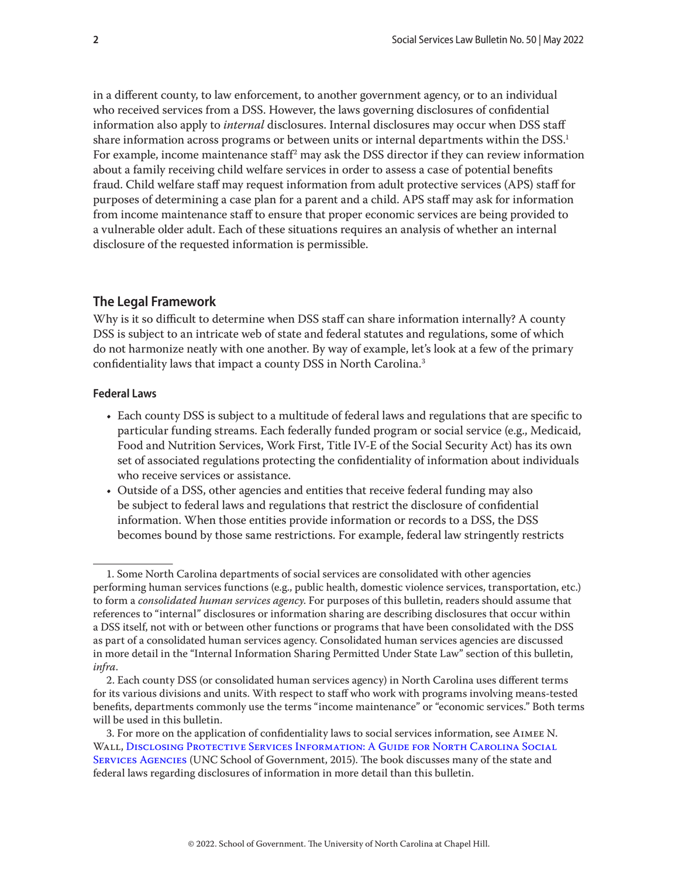<span id="page-1-0"></span>in a different county, to law enforcement, to another government agency, or to an individual who received services from a DSS. However, the laws governing disclosures of confidential information also apply to *internal* disclosures. Internal disclosures may occur when DSS staff share information across programs or between units or internal departments within the DSS.<sup>1</sup> For example, income maintenance staff $^2$  may ask the DSS director if they can review information about a family receiving child welfare services in order to assess a case of potential benefits fraud. Child welfare staff may request information from adult protective services (APS) staff for purposes of determining a case plan for a parent and a child. APS staff may ask for information from income maintenance staff to ensure that proper economic services are being provided to a vulnerable older adult. Each of these situations requires an analysis of whether an internal disclosure of the requested information is permissible.

# **The Legal Framework**

Why is it so difficult to determine when DSS staff can share information internally? A county DSS is subject to an intricate web of state and federal statutes and regulations, some of which do not harmonize neatly with one another. By way of example, let's look at a few of the primary confidentiality laws that impact a county DSS in North Carolina.<sup>3</sup>

#### **Federal Laws**

- Each county DSS is subject to a multitude of federal laws and regulations that are specific to particular funding streams. Each federally funded program or social service (e.g., Medicaid, Food and Nutrition Services, Work First, Title IV-E of the Social Security Act) has its own set of associated regulations protecting the confidentiality of information about individuals who receive services or assistance.
- Outside of a DSS, other agencies and entities that receive federal funding may also be subject to federal laws and regulations that restrict the disclosure of confidential information. When those entities provide information or records to a DSS, the DSS becomes bound by those same restrictions. For example, federal law stringently restricts

<sup>1.</sup> Some North Carolina departments of social services are consolidated with other agencies performing human services functions (e.g., public health, domestic violence services, transportation, etc.) to form a *consolidated human services agency*. For purposes of this bulletin, readers should assume that references to "internal" disclosures or information sharing are describing disclosures that occur within a DSS itself, not with or between other functions or programs that have been consolidated with the DSS as part of a consolidated human services agency. Consolidated human services agencies are discussed in more detail in the "Internal Information Sharing Permitted Under State Law" section of this bulletin, *infra*.

<sup>2.</sup> Each county DSS (or consolidated human services agency) in North Carolina uses different terms for its various divisions and units. With respect to staff who work with programs involving means-tested benefits, departments commonly use the terms "income maintenance" or "economic services." Both terms will be used in this bulletin.

<sup>3.</sup> For more on the application of confidentiality laws to social services information, see Aimee N. Wall, [Disclosing Protective Services Information: A Guide for North Carolina Social](https://www.sog.unc.edu/publications/books/disclosing-protective-services-information-guide-north-carolina-social-services-agencies)  [Services Agencies](https://www.sog.unc.edu/publications/books/disclosing-protective-services-information-guide-north-carolina-social-services-agencies) (UNC School of Government, 2015). The book discusses many of the state and federal laws regarding disclosures of information in more detail than this bulletin.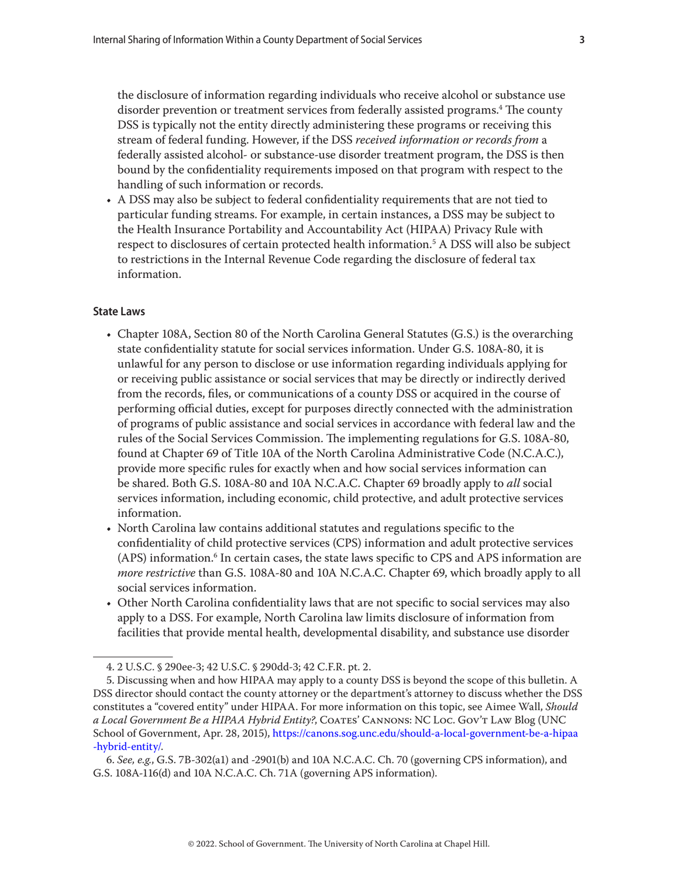<span id="page-2-0"></span>the disclosure of information regarding individuals who receive alcohol or substance use disorder prevention or treatment services from federally assisted programs.<sup>4</sup> The county DSS is typically not the entity directly administering these programs or receiving this stream of federal funding. However, if the DSS *received information or records from* a federally assisted alcohol- or substance-use disorder treatment program, the DSS is then bound by the confidentiality requirements imposed on that program with respect to the handling of such information or records.

• A DSS may also be subject to federal confidentiality requirements that are not tied to particular funding streams. For example, in certain instances, a DSS may be subject to the Health Insurance Portability and Accountability Act (HIPAA) Privacy Rule with respect to disclosures of certain protected health information.5 A DSS will also be subject to restrictions in the Internal Revenue Code regarding the disclosure of federal tax information.

#### **State Laws**

- Chapter 108A, Section 80 of the North Carolina General Statutes (G.S.) is the overarching state confidentiality statute for social services information. Under G.S. 108A-80, it is unlawful for any person to disclose or use information regarding individuals applying for or receiving public assistance or social services that may be directly or indirectly derived from the records, files, or communications of a county DSS or acquired in the course of performing official duties, except for purposes directly connected with the administration of programs of public assistance and social services in accordance with federal law and the rules of the Social Services Commission. The implementing regulations for G.S. 108A-80, found at Chapter 69 of Title 10A of the North Carolina Administrative Code (N.C.A.C.), provide more specific rules for exactly when and how social services information can be shared. Both G.S. 108A-80 and 10A N.C.A.C. Chapter 69 broadly apply to *all* social services information, including economic, child protective, and adult protective services information.
- North Carolina law contains additional statutes and regulations specific to the confidentiality of child protective services (CPS) information and adult protective services (APS) information.<sup>6</sup> In certain cases, the state laws specific to CPS and APS information are *more restrictive* than G.S. 108A-80 and 10A N.C.A.C. Chapter 69, which broadly apply to all social services information.
- Other North Carolina confidentiality laws that are not specific to social services may also apply to a DSS. For example, North Carolina law limits disclosure of information from facilities that provide mental health, developmental disability, and substance use disorder

<sup>4. 2</sup> U.S.C. § 290ee-3; 42 U.S.C. § 290dd-3; 42 C.F.R. pt. 2.

<sup>5.</sup> Discussing when and how HIPAA may apply to a county DSS is beyond the scope of this bulletin. A DSS director should contact the county attorney or the department's attorney to discuss whether the DSS constitutes a "covered entity" under HIPAA. For more information on this topic, see Aimee Wall, *Should a Local Government Be a HIPAA Hybrid Entity?*, Coates' Cannons: NC Loc. Gov't Law Blog (UNC School of Government, Apr. 28, 2015), [https://canons.sog.unc.edu/should-a-local-government-be-a-hipaa](https://canons.sog.unc.edu/should-a-local-government-be-a-hipaa-hybrid-entity/) [-hybrid-entity/](https://canons.sog.unc.edu/should-a-local-government-be-a-hipaa-hybrid-entity/).

<sup>6.</sup> *See, e.g.*, G.S. 7B-302(a1) and -2901(b) and 10A N.C.A.C. Ch. 70 (governing CPS information), and G.S. 108A-116(d) and 10A N.C.A.C. Ch. 71A (governing APS information).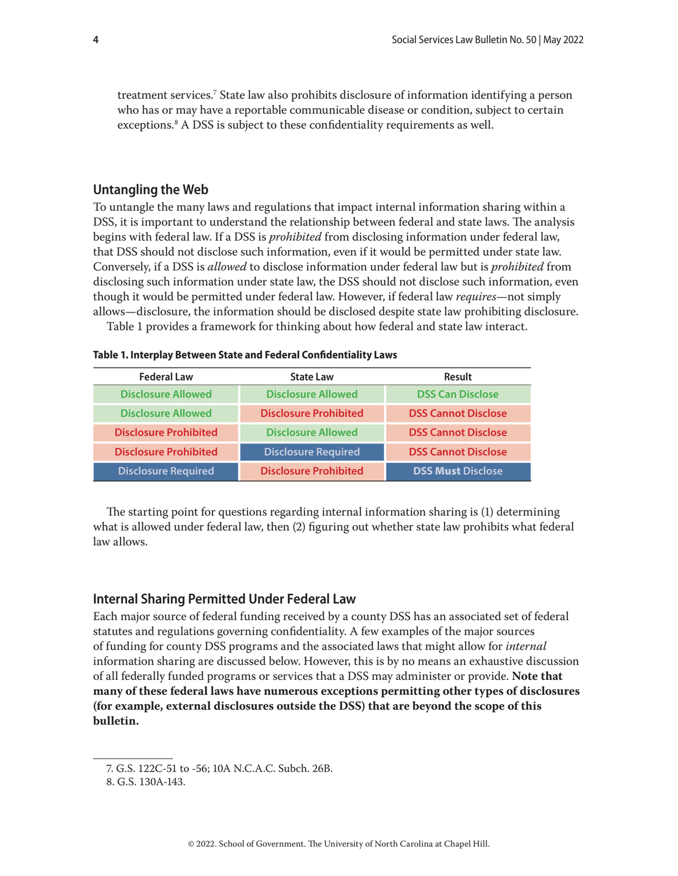<span id="page-3-0"></span>treatment services.7 State law also prohibits disclosure of information identifying a person who has or may have a reportable communicable disease or condition, subject to certain exceptions.<sup>8</sup> A DSS is subject to these confidentiality requirements as well.

# **Untangling the Web**

To untangle the many laws and regulations that impact internal information sharing within a DSS, it is important to understand the relationship between federal and state laws. The analysis begins with federal law. If a DSS is *prohibited* from disclosing information under federal law, that DSS should not disclose such information, even if it would be permitted under state law. Conversely, if a DSS is *allowed* to disclose information under federal law but is *prohibited* from disclosing such information under state law, the DSS should not disclose such information, even though it would be permitted under federal law. However, if federal law *requires*—not simply allows—disclosure, the information should be disclosed despite state law prohibiting disclosure.

Table 1 provides a framework for thinking about how federal and state law interact.

| <b>Federal Law</b> | State Law |
|--------------------|-----------|

**Table 1. Interplay Between State and Federal Confidentiality Laws** 

| <b>Federal Law</b>           | <b>State Law</b>             | <b>Result</b>              |  |
|------------------------------|------------------------------|----------------------------|--|
| <b>Disclosure Allowed</b>    | <b>Disclosure Allowed</b>    | <b>DSS Can Disclose</b>    |  |
| <b>Disclosure Allowed</b>    | <b>Disclosure Prohibited</b> | <b>DSS Cannot Disclose</b> |  |
| <b>Disclosure Prohibited</b> | <b>Disclosure Allowed</b>    | <b>DSS Cannot Disclose</b> |  |
| <b>Disclosure Prohibited</b> | <b>Disclosure Required</b>   | <b>DSS Cannot Disclose</b> |  |
| <b>Disclosure Required</b>   | <b>Disclosure Prohibited</b> | <b>DSS Must Disclose</b>   |  |

The starting point for questions regarding internal information sharing is (1) determining what is allowed under federal law, then (2) figuring out whether state law prohibits what federal law allows.

# **Internal Sharing Permitted Under Federal Law**

Each major source of federal funding received by a county DSS has an associated set of federal statutes and regulations governing confidentiality. A few examples of the major sources of funding for county DSS programs and the associated laws that might allow for *internal*  information sharing are discussed below. However, this is by no means an exhaustive discussion of all federally funded programs or services that a DSS may administer or provide. **Note that many of these federal laws have numerous exceptions permitting other types of disclosures (for example, external disclosures outside the DSS) that are beyond the scope of this bulletin.**

<sup>7.</sup> G.S. 122C-51 to -56; 10A N.C.A.C. Subch. 26B.

<sup>8.</sup> G.S. 130A-143.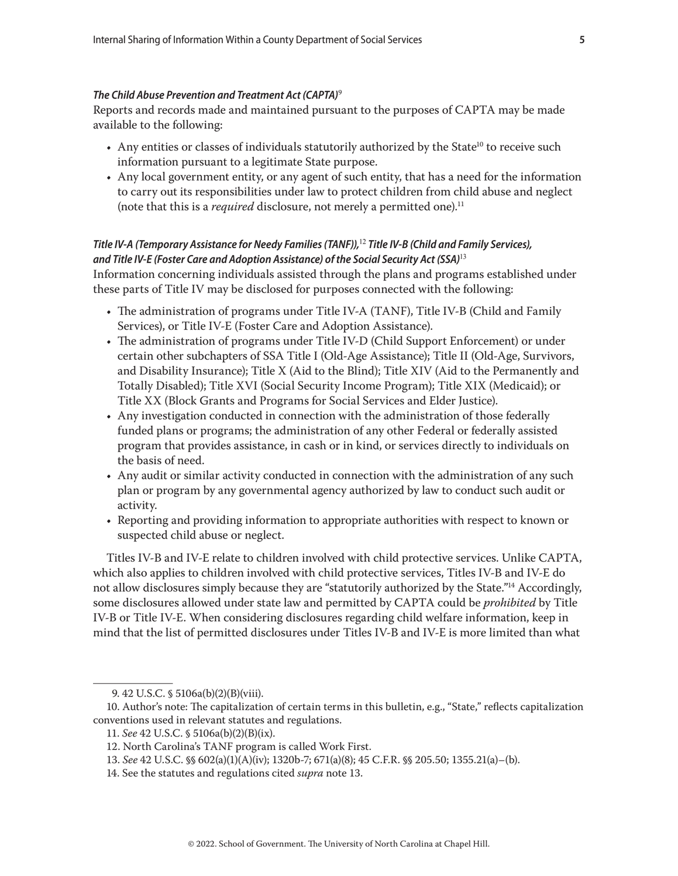#### *The Child Abuse Prevention and Treatment Act (CAPTA)*<sup>9</sup>

Reports and records made and maintained pursuant to the purposes of CAPTA may be made available to the following:

- Any entities or classes of individuals statutorily authorized by the State<sup>10</sup> to receive such information pursuant to a legitimate State purpose.
- Any local government entity, or any agent of such entity, that has a need for the information to carry out its responsibilities under law to protect children from child abuse and neglect (note that this is a *required* disclosure, not merely a permitted one).<sup>11</sup>

# *Title IV-A (Temporary Assistance for Needy Families (TANF)),*<sup>12</sup> *Title IV-B (Child and Family Services), and Title IV-E (Foster Care and Adoption Assistance) of the Social Security Act (SSA)*<sup>13</sup>

Information concerning individuals assisted through the plans and programs established under these parts of Title IV may be disclosed for purposes connected with the following:

- The administration of programs under Title IV-A (TANF), Title IV-B (Child and Family Services), or Title IV-E (Foster Care and Adoption Assistance).
- The administration of programs under Title IV-D (Child Support Enforcement) or under certain other subchapters of SSA Title I (Old-Age Assistance); Title II (Old-Age, Survivors, and Disability Insurance); Title X (Aid to the Blind); Title XIV (Aid to the Permanently and Totally Disabled); Title XVI (Social Security Income Program); Title XIX (Medicaid); or Title XX (Block Grants and Programs for Social Services and Elder Justice).
- Any investigation conducted in connection with the administration of those federally funded plans or programs; the administration of any other Federal or federally assisted program that provides assistance, in cash or in kind, or services directly to individuals on the basis of need.
- Any audit or similar activity conducted in connection with the administration of any such plan or program by any governmental agency authorized by law to conduct such audit or activity.
- Reporting and providing information to appropriate authorities with respect to known or suspected child abuse or neglect.

Titles IV-B and IV-E relate to children involved with child protective services. Unlike CAPTA, which also applies to children involved with child protective services, Titles IV-B and IV-E do not allow disclosures simply because they are "statutorily authorized by the State."14 Accordingly, some disclosures allowed under state law and permitted by CAPTA could be *prohibited* by Title IV-B or Title IV-E. When considering disclosures regarding child welfare information, keep in mind that the list of permitted disclosures under Titles IV-B and IV-E is more limited than what

<sup>9. 42</sup> U.S.C. § 5106a(b)(2)(B)(viii).

<sup>10.</sup> Author's note: The capitalization of certain terms in this bulletin, e.g., "State," reflects capitalization conventions used in relevant statutes and regulations.

<sup>11.</sup> *See* 42 U.S.C. § 5106a(b)(2)(B)(ix).

<sup>12.</sup> North Carolina's TANF program is called Work First.

<sup>13.</sup> *See* 42 U.S.C. §§ 602(a)(1)(A)(iv); 1320b-7; 671(a)(8); 45 C.F.R. §§ 205.50; 1355.21(a)–(b).

<sup>14.</sup> See the statutes and regulations cited *supra* note 13.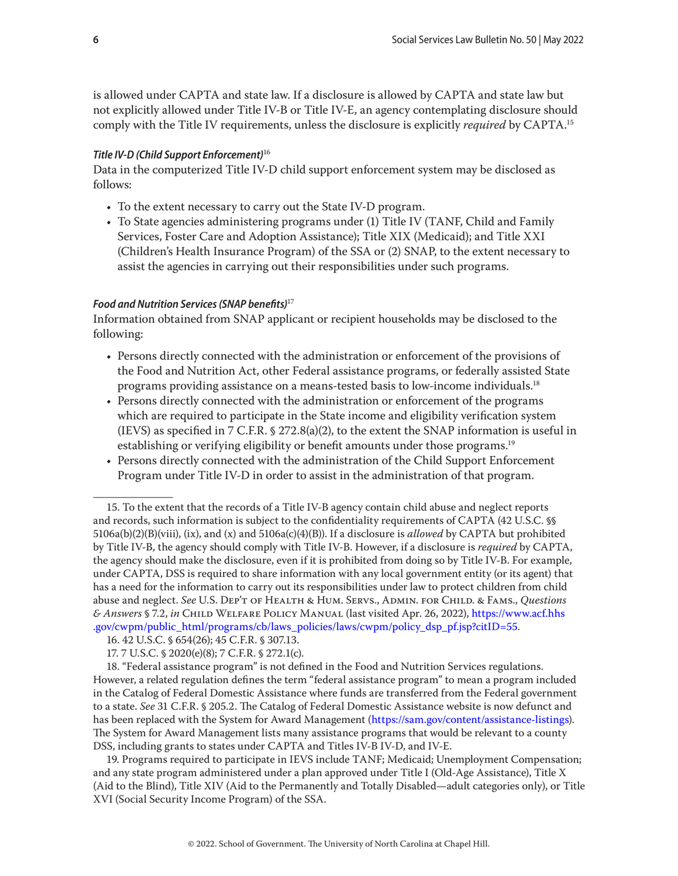is allowed under CAPTA and state law. If a disclosure is allowed by CAPTA and state law but not explicitly allowed under Title IV-B or Title IV-E, an agency contemplating disclosure should comply with the Title IV requirements, unless the disclosure is explicitly *required* by CAPTA.15

#### *Title IV-D (Child Support Enforcement)*<sup>16</sup>

Data in the computerized Title IV-D child support enforcement system may be disclosed as follows:

- To the extent necessary to carry out the State IV-D program.
- To State agencies administering programs under (1) Title IV (TANF, Child and Family Services, Foster Care and Adoption Assistance); Title XIX (Medicaid); and Title XXI (Children's Health Insurance Program) of the SSA or (2) SNAP, to the extent necessary to assist the agencies in carrying out their responsibilities under such programs.

#### *Food and Nutrition Services (SNAP benefits)*<sup>17</sup>

Information obtained from SNAP applicant or recipient households may be disclosed to the following:

- Persons directly connected with the administration or enforcement of the provisions of the Food and Nutrition Act, other Federal assistance programs, or federally assisted State programs providing assistance on a means-tested basis to low-income individuals.18
- Persons directly connected with the administration or enforcement of the programs which are required to participate in the State income and eligibility verification system (IEVS) as specified in 7 C.F.R.  $\S 272.8(a)(2)$ , to the extent the SNAP information is useful in establishing or verifying eligibility or benefit amounts under those programs.<sup>19</sup>
- Persons directly connected with the administration of the Child Support Enforcement Program under Title IV-D in order to assist in the administration of that program.

19. Programs required to participate in IEVS include TANF; Medicaid; Unemployment Compensation; and any state program administered under a plan approved under Title I (Old-Age Assistance), Title X (Aid to the Blind), Title XIV (Aid to the Permanently and Totally Disabled—adult categories only), or Title XVI (Social Security Income Program) of the SSA.

<sup>15.</sup> To the extent that the records of a Title IV-B agency contain child abuse and neglect reports and records, such information is subject to the confidentiality requirements of CAPTA (42 U.S.C. §§ 5106a(b)(2)(B)(viii), (ix), and (x) and 5106a(c)(4)(B)). If a disclosure is *allowed* by CAPTA but prohibited by Title IV-B, the agency should comply with Title IV-B. However, if a disclosure is *required* by CAPTA, the agency should make the disclosure, even if it is prohibited from doing so by Title IV-B. For example, under CAPTA, DSS is required to share information with any local government entity (or its agent) that has a need for the information to carry out its responsibilities under law to protect children from child abuse and neglect. *See* U.S. Dep't of Health & Hum. Servs., Admin. for Child. & Fams., *Questions & Answers* § 7.2, *in* Child Welfare Policy Manual (last visited Apr. 26, 2022), [https://www.acf.hhs](https://www.acf.hhs.gov/cwpm/public_html/programs/cb/laws_policies/laws/cwpm/policy_dsp_pf.jsp?citID=55) [.gov/cwpm/public\\_html/programs/cb/laws\\_policies/laws/cwpm/policy\\_dsp\\_pf.jsp?citID=55](https://www.acf.hhs.gov/cwpm/public_html/programs/cb/laws_policies/laws/cwpm/policy_dsp_pf.jsp?citID=55).

<sup>16. 42</sup> U.S.C. § 654(26); 45 C.F.R. § 307.13.

<sup>17. 7</sup> U.S.C. § 2020(e)(8); 7 C.F.R. § 272.1(c).

<sup>18. &</sup>quot;Federal assistance program" is not defined in the Food and Nutrition Services regulations. However, a related regulation defines the term "federal assistance program" to mean a program included in the Catalog of Federal Domestic Assistance where funds are transferred from the Federal government to a state. *See* 31 C.F.R. § 205.2. The Catalog of Federal Domestic Assistance website is now defunct and has been replaced with the System for Award Management [\(https://sam.gov/content/assistance-listings](https://sam.gov/content/assistance-listings)). The System for Award Management lists many assistance programs that would be relevant to a county DSS, including grants to states under CAPTA and Titles IV-B IV-D, and IV-E.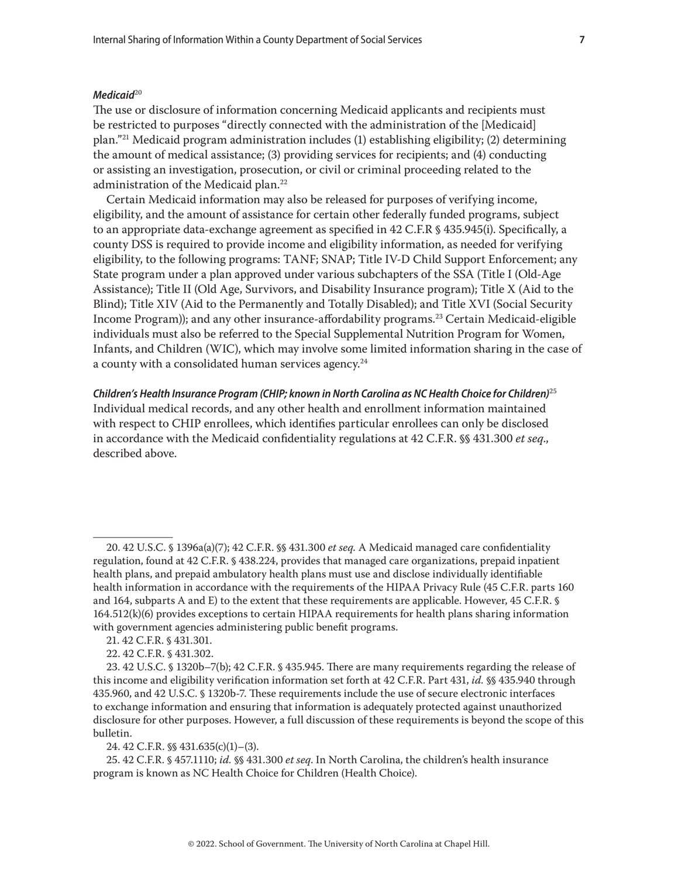#### *Medicaid*<sup>20</sup>

The use or disclosure of information concerning Medicaid applicants and recipients must be restricted to purposes "directly connected with the administration of the [Medicaid] plan."21 Medicaid program administration includes (1) establishing eligibility; (2) determining the amount of medical assistance; (3) providing services for recipients; and (4) conducting or assisting an investigation, prosecution, or civil or criminal proceeding related to the administration of the Medicaid plan.22

Certain Medicaid information may also be released for purposes of verifying income, eligibility, and the amount of assistance for certain other federally funded programs, subject to an appropriate data-exchange agreement as specified in 42 C.F.R § 435.945(i). Specifically, a county DSS is required to provide income and eligibility information, as needed for verifying eligibility, to the following programs: TANF; SNAP; Title IV-D Child Support Enforcement; any State program under a plan approved under various subchapters of the SSA (Title I (Old-Age Assistance); Title II (Old Age, Survivors, and Disability Insurance program); Title X (Aid to the Blind); Title XIV (Aid to the Permanently and Totally Disabled); and Title XVI (Social Security Income Program)); and any other insurance-affordability programs.23 Certain Medicaid-eligible individuals must also be referred to the Special Supplemental Nutrition Program for Women, Infants, and Children (WIC), which may involve some limited information sharing in the case of a county with a consolidated human services agency.<sup>24</sup>

*Children's Health Insurance Program (CHIP; known in North Carolina as NC Health Choice for Children)*<sup>25</sup> Individual medical records, and any other health and enrollment information maintained with respect to CHIP enrollees, which identifies particular enrollees can only be disclosed in accordance with the Medicaid confidentiality regulations at 42 C.F.R. §§ 431.300 *et seq*., described above.

24. 42 C.F.R. §§ 431.635(c)(1)–(3).

25. 42 C.F.R. § 457.1110; *id.* §§ 431.300 *et seq*. In North Carolina, the children's health insurance program is known as NC Health Choice for Children (Health Choice).

<sup>20. 42</sup> U.S.C. § 1396a(a)(7); 42 C.F.R. §§ 431.300 *et seq.* A Medicaid managed care confidentiality regulation, found at 42 C.F.R. § 438.224, provides that managed care organizations, prepaid inpatient health plans, and prepaid ambulatory health plans must use and disclose individually identifiable health information in accordance with the requirements of the HIPAA Privacy Rule (45 C.F.R. parts 160 and 164, subparts A and E) to the extent that these requirements are applicable. However, 45 C.F.R. § 164.512(k)(6) provides exceptions to certain HIPAA requirements for health plans sharing information with government agencies administering public benefit programs.

<sup>21. 42</sup> C.F.R. § 431.301.

<sup>22. 42</sup> C.F.R. § 431.302.

<sup>23. 42</sup> U.S.C. § 1320b–7(b); 42 C.F.R. § 435.945. There are many requirements regarding the release of this income and eligibility verification information set forth at 42 C.F.R. Part 431, *id.* §§ 435.940 through 435.960, and 42 U.S.C. § 1320b-7. These requirements include the use of secure electronic interfaces to exchange information and ensuring that information is adequately protected against unauthorized disclosure for other purposes. However, a full discussion of these requirements is beyond the scope of this bulletin.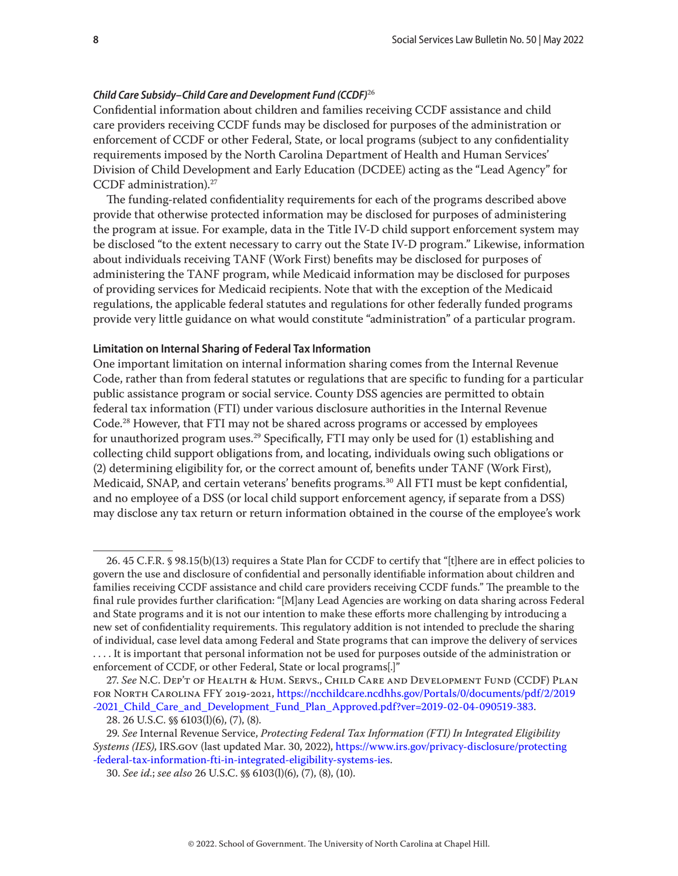#### <span id="page-7-0"></span>*Child Care Subsidy–Child Care and Development Fund (CCDF)*<sup>26</sup>

Confidential information about children and families receiving CCDF assistance and child care providers receiving CCDF funds may be disclosed for purposes of the administration or enforcement of CCDF or other Federal, State, or local programs (subject to any confidentiality requirements imposed by the North Carolina Department of Health and Human Services' Division of Child Development and Early Education (DCDEE) acting as the "Lead Agency" for CCDF administration).27

The funding-related confidentiality requirements for each of the programs described above provide that otherwise protected information may be disclosed for purposes of administering the program at issue. For example, data in the Title IV-D child support enforcement system may be disclosed "to the extent necessary to carry out the State IV-D program." Likewise, information about individuals receiving TANF (Work First) benefits may be disclosed for purposes of administering the TANF program, while Medicaid information may be disclosed for purposes of providing services for Medicaid recipients. Note that with the exception of the Medicaid regulations, the applicable federal statutes and regulations for other federally funded programs provide very little guidance on what would constitute "administration" of a particular program.

## **Limitation on Internal Sharing of Federal Tax Information**

One important limitation on internal information sharing comes from the Internal Revenue Code, rather than from federal statutes or regulations that are specific to funding for a particular public assistance program or social service. County DSS agencies are permitted to obtain federal tax information (FTI) under various disclosure authorities in the Internal Revenue Code.28 However, that FTI may not be shared across programs or accessed by employees for unauthorized program uses.<sup>29</sup> Specifically, FTI may only be used for (1) establishing and collecting child support obligations from, and locating, individuals owing such obligations or (2) determining eligibility for, or the correct amount of, benefits under TANF (Work First), Medicaid, SNAP, and certain veterans' benefits programs.30 All FTI must be kept confidential, and no employee of a DSS (or local child support enforcement agency, if separate from a DSS) may disclose any tax return or return information obtained in the course of the employee's work

<sup>26. 45</sup> C.F.R. § 98.15(b)(13) requires a State Plan for CCDF to certify that "[t]here are in effect policies to govern the use and disclosure of confidential and personally identifiable information about children and families receiving CCDF assistance and child care providers receiving CCDF funds." The preamble to the final rule provides further clarification: "[M]any Lead Agencies are working on data sharing across Federal and State programs and it is not our intention to make these efforts more challenging by introducing a new set of confidentiality requirements. This regulatory addition is not intended to preclude the sharing of individual, case level data among Federal and State programs that can improve the delivery of services . . . . It is important that personal information not be used for purposes outside of the administration or enforcement of CCDF, or other Federal, State or local programs[.]"

<sup>27.</sup> *See* N.C. Dep't of Health & Hum. Servs., Child Care and Development Fund (CCDF) Plan for North Carolina FFY 2019-2021, [https://ncchildcare.ncdhhs.gov/Portals/0/documents/pdf/2/2019](https://ncchildcare.ncdhhs.gov/Portals/0/documents/pdf/2/2019-2021_Child_Care_and_Development_Fund_Plan_Approved.pdf?ver=2019-02-04-090519-383) [-2021\\_Child\\_Care\\_and\\_Development\\_Fund\\_Plan\\_Approved.pdf?ver=2019-02-04-090519-383.](https://ncchildcare.ncdhhs.gov/Portals/0/documents/pdf/2/2019-2021_Child_Care_and_Development_Fund_Plan_Approved.pdf?ver=2019-02-04-090519-383)

<sup>28. 26</sup> U.S.C. §§ 6103(l)(6), (7), (8).

<sup>29.</sup> *See* Internal Revenue Service, *Protecting Federal Tax Information (FTI) In Integrated Eligibility Systems (IES)*, IRS.gov (last updated Mar. 30, 2022), [https://www.irs.gov/privacy-disclosure/protecting](https://www.irs.gov/privacy-disclosure/protecting-federal-tax-information-fti-in-integrated-eligibility-systems-ies) [-federal-tax-information-fti-in-integrated-eligibility-systems-ies](https://www.irs.gov/privacy-disclosure/protecting-federal-tax-information-fti-in-integrated-eligibility-systems-ies).

<sup>30.</sup> *See id.*; *see also* 26 U.S.C. §§ 6103(l)(6), (7), (8), (10).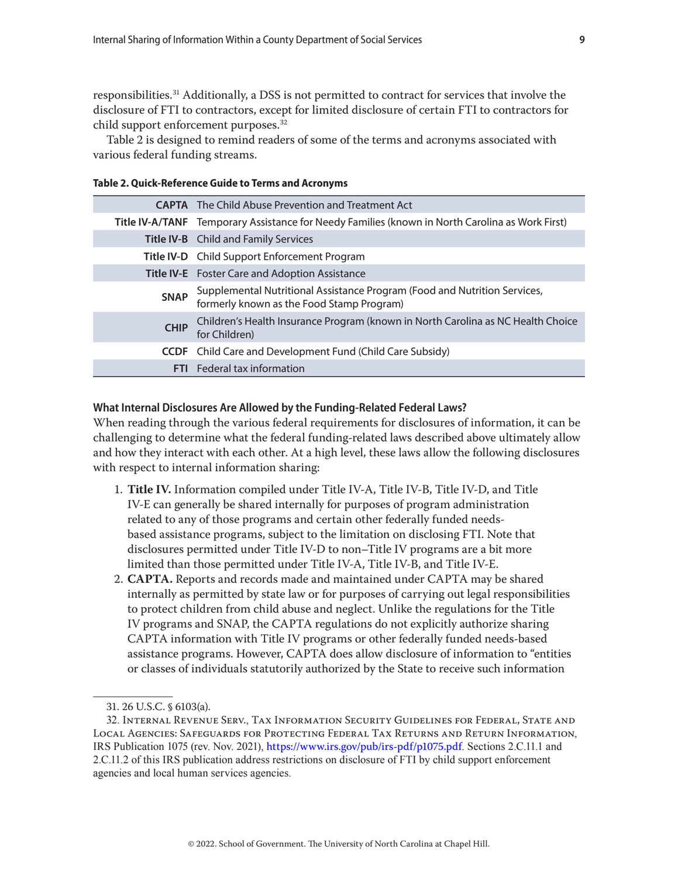<span id="page-8-0"></span>responsibilities.31 Additionally, a DSS is not permitted to contract for services that involve the disclosure of FTI to contractors, except for limited disclosure of certain FTI to contractors for child support enforcement purposes.32

Table 2 is designed to remind readers of some of the terms and acronyms associated with various federal funding streams.

| Table 2. Quick-Reference Guide to Terms and Acronyms |  |  |  |
|------------------------------------------------------|--|--|--|
|------------------------------------------------------|--|--|--|

|             | <b>CAPTA</b> The Child Abuse Prevention and Treatment Act                                                           |
|-------------|---------------------------------------------------------------------------------------------------------------------|
|             | Title IV-A/TANF Temporary Assistance for Needy Families (known in North Carolina as Work First)                     |
|             | <b>Title IV-B</b> Child and Family Services                                                                         |
|             | Title IV-D Child Support Enforcement Program                                                                        |
|             | <b>Title IV-E</b> Foster Care and Adoption Assistance                                                               |
| <b>SNAP</b> | Supplemental Nutritional Assistance Program (Food and Nutrition Services, formerly known as the Food Stamp Program) |
| <b>CHIP</b> | Children's Health Insurance Program (known in North Carolina as NC Health Choice<br>for Children)                   |
|             | <b>CCDF</b> Child Care and Development Fund (Child Care Subsidy)                                                    |
|             | <b>FTI</b> Federal tax information                                                                                  |

## **What Internal Disclosures Are Allowed by the Funding-Related Federal Laws?**

When reading through the various federal requirements for disclosures of information, it can be challenging to determine what the federal funding-related laws described above ultimately allow and how they interact with each other. At a high level, these laws allow the following disclosures with respect to internal information sharing:

- 1. **Title IV.** Information compiled under Title IV-A, Title IV-B, Title IV-D, and Title IV-E can generally be shared internally for purposes of program administration related to any of those programs and certain other federally funded needsbased assistance programs, subject to the limitation on disclosing FTI. Note that disclosures permitted under Title IV-D to non–Title IV programs are a bit more limited than those permitted under Title IV-A, Title IV-B, and Title IV-E.
- 2. **CAPTA.** Reports and records made and maintained under CAPTA may be shared internally as permitted by state law or for purposes of carrying out legal responsibilities to protect children from child abuse and neglect. Unlike the regulations for the Title IV programs and SNAP, the CAPTA regulations do not explicitly authorize sharing CAPTA information with Title IV programs or other federally funded needs-based assistance programs. However, CAPTA does allow disclosure of information to "entities or classes of individuals statutorily authorized by the State to receive such information

<sup>31. 26</sup> U.S.C. § 6103(a).

<sup>32.</sup> Internal Revenue Serv., Tax Information Security Guidelines for Federal, State and Local Agencies: Safeguards for Protecting Federal Tax Returns and Return Information, IRS Publication 1075 (rev. Nov. 2021), <https://www.irs.gov/pub/irs-pdf/p1075.pdf>. Sections 2.C.11.1 and 2.C.11.2 of this IRS publication address restrictions on disclosure of FTI by child support enforcement agencies and local human services agencies.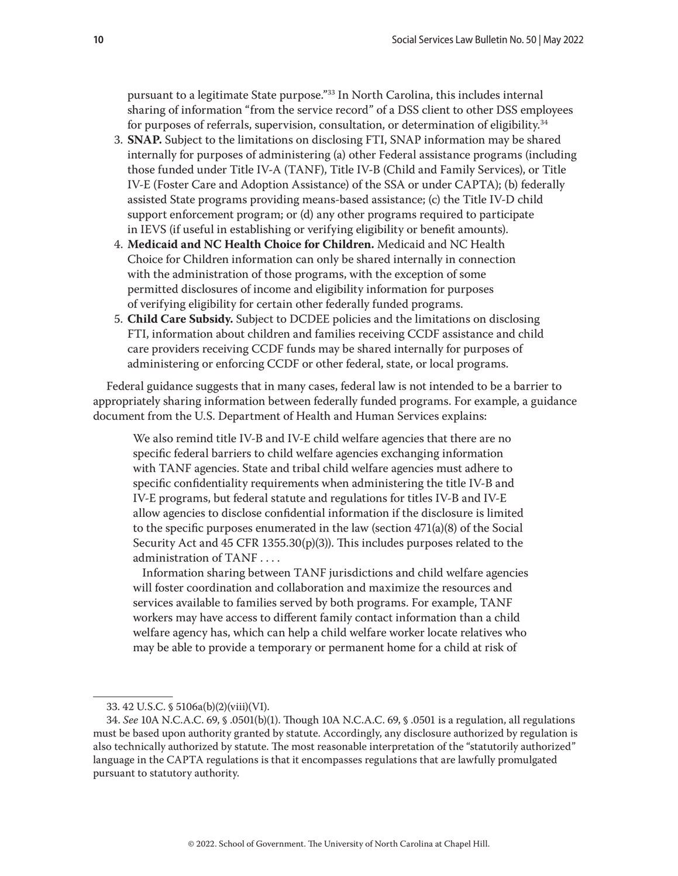pursuant to a legitimate State purpose."33 In North Carolina, this includes internal sharing of information "from the service record" of a DSS client to other DSS employees for purposes of referrals, supervision, consultation, or determination of eligibility.34

- 3. **SNAP.** Subject to the limitations on disclosing FTI, SNAP information may be shared internally for purposes of administering (a) other Federal assistance programs (including those funded under Title IV-A (TANF), Title IV-B (Child and Family Services), or Title IV-E (Foster Care and Adoption Assistance) of the SSA or under CAPTA); (b) federally assisted State programs providing means-based assistance; (c) the Title IV-D child support enforcement program; or (d) any other programs required to participate in IEVS (if useful in establishing or verifying eligibility or benefit amounts).
- 4. **Medicaid and NC Health Choice for Children.** Medicaid and NC Health Choice for Children information can only be shared internally in connection with the administration of those programs, with the exception of some permitted disclosures of income and eligibility information for purposes of verifying eligibility for certain other federally funded programs.
- 5. **Child Care Subsidy.** Subject to DCDEE policies and the limitations on disclosing FTI, information about children and families receiving CCDF assistance and child care providers receiving CCDF funds may be shared internally for purposes of administering or enforcing CCDF or other federal, state, or local programs.

Federal guidance suggests that in many cases, federal law is not intended to be a barrier to appropriately sharing information between federally funded programs. For example, a guidance document from the U.S. Department of Health and Human Services explains:

We also remind title IV-B and IV-E child welfare agencies that there are no specific federal barriers to child welfare agencies exchanging information with TANF agencies. State and tribal child welfare agencies must adhere to specific confidentiality requirements when administering the title IV-B and IV-E programs, but federal statute and regulations for titles IV-B and IV-E allow agencies to disclose confidential information if the disclosure is limited to the specific purposes enumerated in the law (section 471(a)(8) of the Social Security Act and 45 CFR 1355.30(p)(3)). This includes purposes related to the administration of TANF . . . .

Information sharing between TANF jurisdictions and child welfare agencies will foster coordination and collaboration and maximize the resources and services available to families served by both programs. For example, TANF workers may have access to different family contact information than a child welfare agency has, which can help a child welfare worker locate relatives who may be able to provide a temporary or permanent home for a child at risk of

<sup>33. 42</sup> U.S.C. § 5106a(b)(2)(viii)(VI).

<sup>34.</sup> *See* 10A N.C.A.C. 69, § .0501(b)(1). Though 10A N.C.A.C. 69, § .0501 is a regulation, all regulations must be based upon authority granted by statute. Accordingly, any disclosure authorized by regulation is also technically authorized by statute. The most reasonable interpretation of the "statutorily authorized" language in the CAPTA regulations is that it encompasses regulations that are lawfully promulgated pursuant to statutory authority.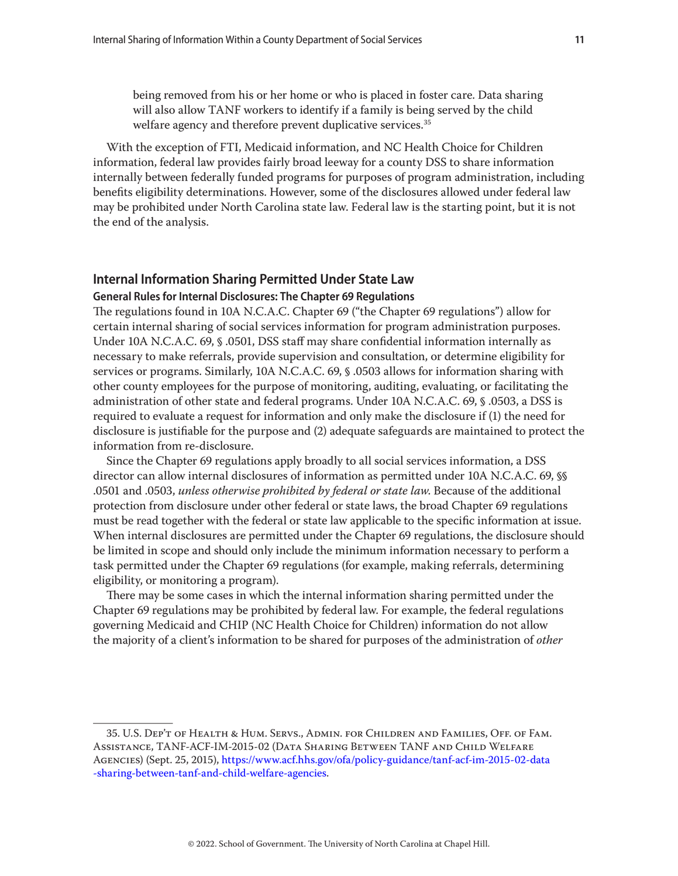<span id="page-10-0"></span>being removed from his or her home or who is placed in foster care. Data sharing will also allow TANF workers to identify if a family is being served by the child welfare agency and therefore prevent duplicative services.<sup>35</sup>

With the exception of FTI, Medicaid information, and NC Health Choice for Children information, federal law provides fairly broad leeway for a county DSS to share information internally between federally funded programs for purposes of program administration, including benefits eligibility determinations. However, some of the disclosures allowed under federal law may be prohibited under North Carolina state law. Federal law is the starting point, but it is not the end of the analysis.

# **Internal Information Sharing Permitted Under State Law**

## **General Rules for Internal Disclosures: The Chapter 69 Regulations**

The regulations found in 10A N.C.A.C. Chapter 69 ("the Chapter 69 regulations") allow for certain internal sharing of social services information for program administration purposes. Under 10A N.C.A.C. 69, § .0501, DSS staff may share confidential information internally as necessary to make referrals, provide supervision and consultation, or determine eligibility for services or programs. Similarly, 10A N.C.A.C. 69, § .0503 allows for information sharing with other county employees for the purpose of monitoring, auditing, evaluating, or facilitating the administration of other state and federal programs. Under 10A N.C.A.C. 69, § .0503, a DSS is required to evaluate a request for information and only make the disclosure if (1) the need for disclosure is justifiable for the purpose and (2) adequate safeguards are maintained to protect the information from re-disclosure.

Since the Chapter 69 regulations apply broadly to all social services information, a DSS director can allow internal disclosures of information as permitted under 10A N.C.A.C. 69, §§ .0501 and .0503, *unless otherwise prohibited by federal or state law*. Because of the additional protection from disclosure under other federal or state laws, the broad Chapter 69 regulations must be read together with the federal or state law applicable to the specific information at issue. When internal disclosures are permitted under the Chapter 69 regulations, the disclosure should be limited in scope and should only include the minimum information necessary to perform a task permitted under the Chapter 69 regulations (for example, making referrals, determining eligibility, or monitoring a program).

There may be some cases in which the internal information sharing permitted under the Chapter 69 regulations may be prohibited by federal law. For example, the federal regulations governing Medicaid and CHIP (NC Health Choice for Children) information do not allow the majority of a client's information to be shared for purposes of the administration of *other*

<sup>35.</sup> U.S. Dep't of Health & Hum. Servs., Admin. for Children and Families, Off. of Fam. Assistance, TANF-ACF-IM-2015-02 (Data Sharing Between TANF and Child Welfare Agencies) (Sept. 25, 2015), [https://www.acf.hhs.gov/ofa/policy-guidance/tanf-acf-im-2015-02-data](https://www.acf.hhs.gov/ofa/policy-guidance/tanf-acf-im-2015-02-data-sharing-between-tanf-and-child-welfare-agencies) [-sharing-between-tanf-and-child-welfare-agencies.](https://www.acf.hhs.gov/ofa/policy-guidance/tanf-acf-im-2015-02-data-sharing-between-tanf-and-child-welfare-agencies)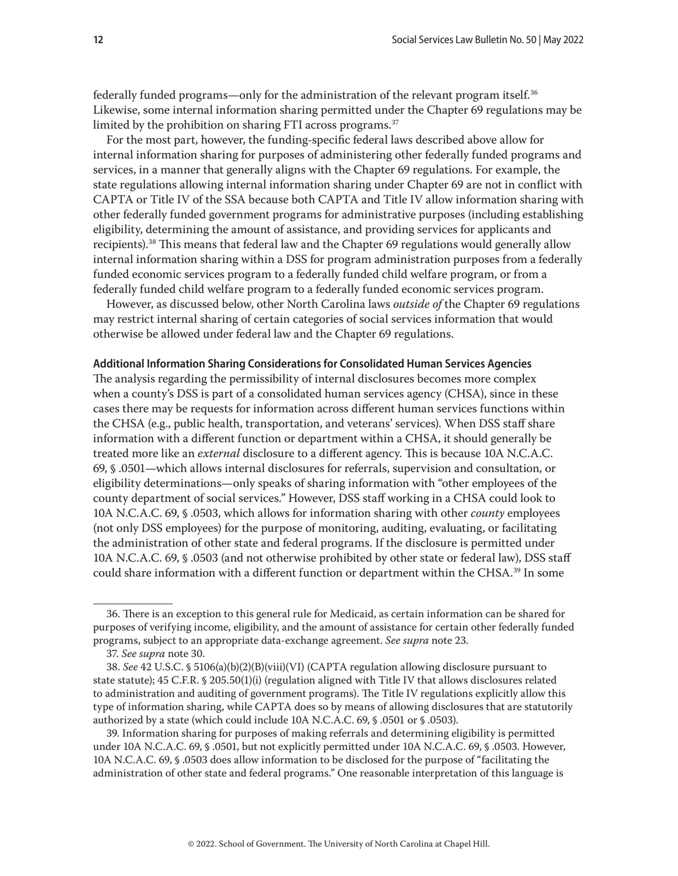<span id="page-11-0"></span>federally funded programs—only for the administration of the relevant program itself.36 Likewise, some internal information sharing permitted under the Chapter 69 regulations may be limited by the prohibition on sharing FTI across programs.<sup>37</sup>

For the most part, however, the funding-specific federal laws described above allow for internal information sharing for purposes of administering other federally funded programs and services, in a manner that generally aligns with the Chapter 69 regulations. For example, the state regulations allowing internal information sharing under Chapter 69 are not in conflict with CAPTA or Title IV of the SSA because both CAPTA and Title IV allow information sharing with other federally funded government programs for administrative purposes (including establishing eligibility, determining the amount of assistance, and providing services for applicants and recipients).38 This means that federal law and the Chapter 69 regulations would generally allow internal information sharing within a DSS for program administration purposes from a federally funded economic services program to a federally funded child welfare program, or from a federally funded child welfare program to a federally funded economic services program.

However, as discussed below, other North Carolina laws *outside of* the Chapter 69 regulations may restrict internal sharing of certain categories of social services information that would otherwise be allowed under federal law and the Chapter 69 regulations.

#### **Additional Information Sharing Considerations for Consolidated Human Services Agencies**

The analysis regarding the permissibility of internal disclosures becomes more complex when a county's DSS is part of a consolidated human services agency (CHSA), since in these cases there may be requests for information across different human services functions within the CHSA (e.g., public health, transportation, and veterans' services). When DSS staff share information with a different function or department within a CHSA, it should generally be treated more like an *external* disclosure to a different agency. This is because 10A N.C.A.C. 69, § .0501—which allows internal disclosures for referrals, supervision and consultation, or eligibility determinations—only speaks of sharing information with "other employees of the county department of social services." However, DSS staff working in a CHSA could look to 10A N.C.A.C. 69, § .0503, which allows for information sharing with other *county* employees (not only DSS employees) for the purpose of monitoring, auditing, evaluating, or facilitating the administration of other state and federal programs. If the disclosure is permitted under 10A N.C.A.C. 69, § .0503 (and not otherwise prohibited by other state or federal law), DSS staff could share information with a different function or department within the CHSA.<sup>39</sup> In some

39. Information sharing for purposes of making referrals and determining eligibility is permitted under 10A N.C.A.C. 69, § .0501, but not explicitly permitted under 10A N.C.A.C. 69, § .0503. However, 10A N.C.A.C. 69, § .0503 does allow information to be disclosed for the purpose of "facilitating the administration of other state and federal programs." One reasonable interpretation of this language is

<sup>36.</sup> There is an exception to this general rule for Medicaid, as certain information can be shared for purposes of verifying income, eligibility, and the amount of assistance for certain other federally funded programs, subject to an appropriate data-exchange agreement. *See supra* note 23.

<sup>37.</sup> *See supra* note 30.

<sup>38.</sup> *See* 42 U.S.C. § 5106(a)(b)(2)(B)(viii)(VI) (CAPTA regulation allowing disclosure pursuant to state statute); 45 C.F.R. § 205.50(1)(i) (regulation aligned with Title IV that allows disclosures related to administration and auditing of government programs). The Title IV regulations explicitly allow this type of information sharing, while CAPTA does so by means of allowing disclosures that are statutorily authorized by a state (which could include 10A N.C.A.C. 69, § .0501 or § .0503).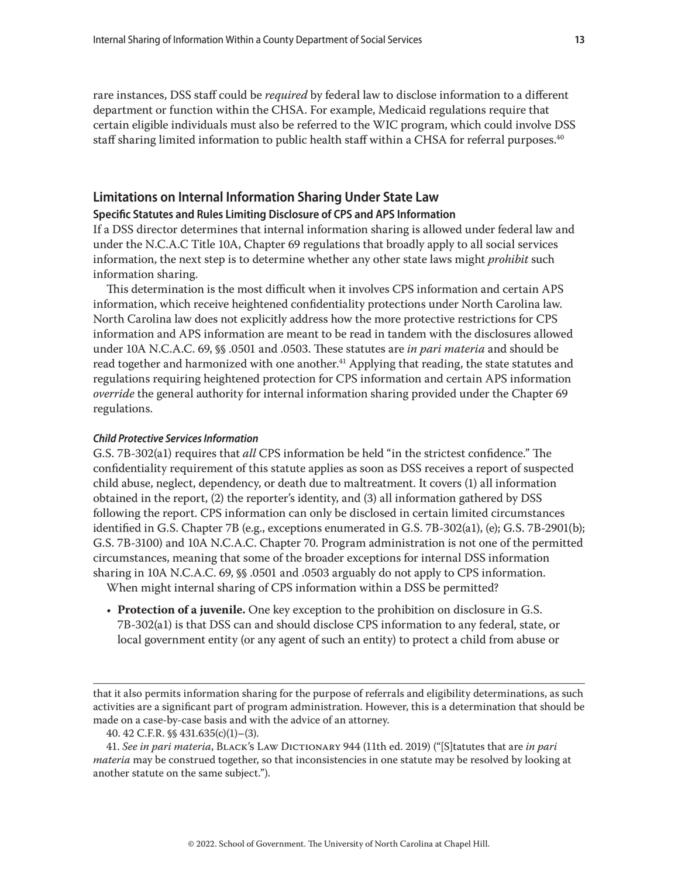<span id="page-12-0"></span>rare instances, DSS staff could be *required* by federal law to disclose information to a different department or function within the CHSA. For example, Medicaid regulations require that certain eligible individuals must also be referred to the WIC program, which could involve DSS staff sharing limited information to public health staff within a CHSA for referral purposes.<sup>40</sup>

# **Limitations on Internal Information Sharing Under State Law**

# **Specific Statutes and Rules Limiting Disclosure of CPS and APS Information**

If a DSS director determines that internal information sharing is allowed under federal law and under the N.C.A.C Title 10A, Chapter 69 regulations that broadly apply to all social services information, the next step is to determine whether any other state laws might *prohibit* such information sharing.

This determination is the most difficult when it involves CPS information and certain APS information, which receive heightened confidentiality protections under North Carolina law. North Carolina law does not explicitly address how the more protective restrictions for CPS information and APS information are meant to be read in tandem with the disclosures allowed under 10A N.C.A.C. 69, §§ .0501 and .0503. These statutes are *in pari materia* and should be read together and harmonized with one another.<sup>41</sup> Applying that reading, the state statutes and regulations requiring heightened protection for CPS information and certain APS information *override* the general authority for internal information sharing provided under the Chapter 69 regulations.

#### *Child Protective Services Information*

G.S. 7B-302(a1) requires that *all* CPS information be held "in the strictest confidence." The confidentiality requirement of this statute applies as soon as DSS receives a report of suspected child abuse, neglect, dependency, or death due to maltreatment. It covers (1) all information obtained in the report, (2) the reporter's identity, and (3) all information gathered by DSS following the report. CPS information can only be disclosed in certain limited circumstances identified in G.S. Chapter 7B (e.g., exceptions enumerated in G.S. 7B-302(a1), (e); G.S. 7B-2901(b); G.S. 7B-3100) and 10A N.C.A.C. Chapter 70. Program administration is not one of the permitted circumstances, meaning that some of the broader exceptions for internal DSS information sharing in 10A N.C.A.C. 69, §§ .0501 and .0503 arguably do not apply to CPS information.

When might internal sharing of CPS information within a DSS be permitted?

• **Protection of a juvenile.** One key exception to the prohibition on disclosure in G.S. 7B-302(a1) is that DSS can and should disclose CPS information to any federal, state, or local government entity (or any agent of such an entity) to protect a child from abuse or

that it also permits information sharing for the purpose of referrals and eligibility determinations, as such activities are a significant part of program administration. However, this is a determination that should be made on a case-by-case basis and with the advice of an attorney.

41. *See in pari materia*, Black's Law Dictionary 944 (11th ed. 2019) ("[S]tatutes that are *in pari materia* may be construed together, so that inconsistencies in one statute may be resolved by looking at another statute on the same subject.").

<sup>40. 42</sup> C.F.R. §§ 431.635(c)(1)–(3).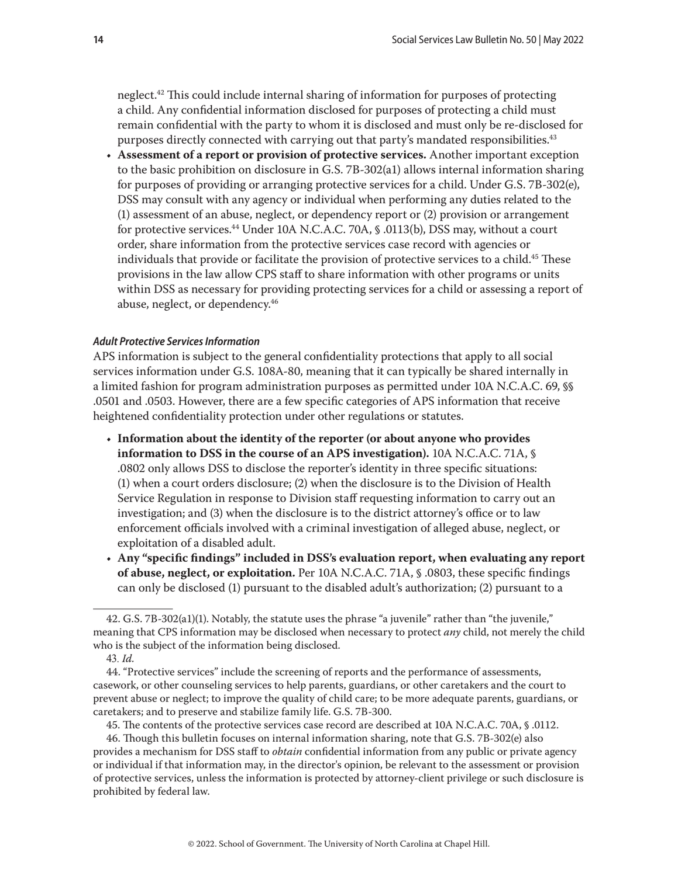neglect.<sup>42</sup> This could include internal sharing of information for purposes of protecting a child. Any confidential information disclosed for purposes of protecting a child must remain confidential with the party to whom it is disclosed and must only be re-disclosed for purposes directly connected with carrying out that party's mandated responsibilities.<sup>43</sup>

• **Assessment of a report or provision of protective services.** Another important exception to the basic prohibition on disclosure in G.S. 7B-302(a1) allows internal information sharing for purposes of providing or arranging protective services for a child. Under G.S. 7B-302(e), DSS may consult with any agency or individual when performing any duties related to the (1) assessment of an abuse, neglect, or dependency report or (2) provision or arrangement for protective services.44 Under 10A N.C.A.C. 70A, § .0113(b), DSS may, without a court order, share information from the protective services case record with agencies or individuals that provide or facilitate the provision of protective services to a child.<sup>45</sup> These provisions in the law allow CPS staff to share information with other programs or units within DSS as necessary for providing protecting services for a child or assessing a report of abuse, neglect, or dependency.46

## *Adult Protective Services Information*

APS information is subject to the general confidentiality protections that apply to all social services information under G.S. 108A-80, meaning that it can typically be shared internally in a limited fashion for program administration purposes as permitted under 10A N.C.A.C. 69, §§ .0501 and .0503. However, there are a few specific categories of APS information that receive heightened confidentiality protection under other regulations or statutes.

- **Information about the identity of the reporter (or about anyone who provides information to DSS in the course of an APS investigation).** 10A N.C.A.C. 71A, § .0802 only allows DSS to disclose the reporter's identity in three specific situations: (1) when a court orders disclosure; (2) when the disclosure is to the Division of Health Service Regulation in response to Division staff requesting information to carry out an investigation; and (3) when the disclosure is to the district attorney's office or to law enforcement officials involved with a criminal investigation of alleged abuse, neglect, or exploitation of a disabled adult.
- **Any "specific findings" included in DSS's evaluation report, when evaluating any report of abuse, neglect, or exploitation.** Per 10A N.C.A.C. 71A, § .0803, these specific findings can only be disclosed (1) pursuant to the disabled adult's authorization; (2) pursuant to a

45. The contents of the protective services case record are described at 10A N.C.A.C. 70A, § .0112.

46. Though this bulletin focuses on internal information sharing, note that G.S. 7B-302(e) also provides a mechanism for DSS staff to *obtain* confidential information from any public or private agency or individual if that information may, in the director's opinion, be relevant to the assessment or provision of protective services, unless the information is protected by attorney-client privilege or such disclosure is prohibited by federal law.

<sup>42.</sup> G.S. 7B-302(a1)(1). Notably, the statute uses the phrase "a juvenile" rather than "the juvenile," meaning that CPS information may be disclosed when necessary to protect *any* child, not merely the child who is the subject of the information being disclosed.

<sup>43.</sup> *Id.*

<sup>44. &</sup>quot;Protective services" include the screening of reports and the performance of assessments, casework, or other counseling services to help parents, guardians, or other caretakers and the court to prevent abuse or neglect; to improve the quality of child care; to be more adequate parents, guardians, or caretakers; and to preserve and stabilize family life. G.S. 7B-300.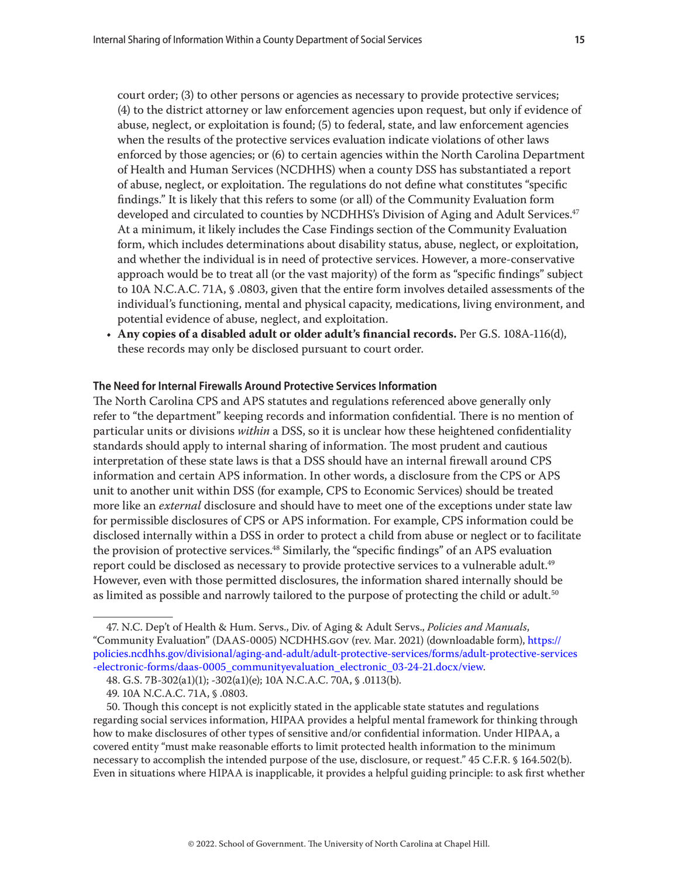<span id="page-14-0"></span>court order; (3) to other persons or agencies as necessary to provide protective services; (4) to the district attorney or law enforcement agencies upon request, but only if evidence of abuse, neglect, or exploitation is found; (5) to federal, state, and law enforcement agencies when the results of the protective services evaluation indicate violations of other laws enforced by those agencies; or (6) to certain agencies within the North Carolina Department of Health and Human Services (NCDHHS) when a county DSS has substantiated a report of abuse, neglect, or exploitation. The regulations do not define what constitutes "specific findings." It is likely that this refers to some (or all) of the Community Evaluation form developed and circulated to counties by NCDHHS's Division of Aging and Adult Services.<sup>47</sup> At a minimum, it likely includes the Case Findings section of the Community Evaluation form, which includes determinations about disability status, abuse, neglect, or exploitation, and whether the individual is in need of protective services. However, a more-conservative approach would be to treat all (or the vast majority) of the form as "specific findings" subject to 10A N.C.A.C. 71A, § .0803, given that the entire form involves detailed assessments of the individual's functioning, mental and physical capacity, medications, living environment, and potential evidence of abuse, neglect, and exploitation.

• **Any copies of a disabled adult or older adult's financial records.** Per G.S. 108A-116(d), these records may only be disclosed pursuant to court order.

#### **The Need for Internal Firewalls Around Protective Services Information**

The North Carolina CPS and APS statutes and regulations referenced above generally only refer to "the department" keeping records and information confidential. There is no mention of particular units or divisions *within* a DSS, so it is unclear how these heightened confidentiality standards should apply to internal sharing of information. The most prudent and cautious interpretation of these state laws is that a DSS should have an internal firewall around CPS information and certain APS information. In other words, a disclosure from the CPS or APS unit to another unit within DSS (for example, CPS to Economic Services) should be treated more like an *external* disclosure and should have to meet one of the exceptions under state law for permissible disclosures of CPS or APS information. For example, CPS information could be disclosed internally within a DSS in order to protect a child from abuse or neglect or to facilitate the provision of protective services.<sup>48</sup> Similarly, the "specific findings" of an APS evaluation report could be disclosed as necessary to provide protective services to a vulnerable adult.<sup>49</sup> However, even with those permitted disclosures, the information shared internally should be as limited as possible and narrowly tailored to the purpose of protecting the child or adult.<sup>50</sup>

<sup>47.</sup> N.C. Dep't of Health & Hum. Servs., Div. of Aging & Adult Servs., *Policies and Manuals*, "Community Evaluation" (DAAS-0005) NCDHHS.gov (rev. Mar. 2021) (downloadable form), [https://](https://policies.ncdhhs.gov/divisional/aging-and-adult/adult-protective-services/forms/adult-protective-services-electronic-forms/daas-0005_communityevaluation_electronic_03-24-21.docx/view) [policies.ncdhhs.gov/divisional/aging-and-adult/adult-protective-services/forms/adult-protective-services](https://policies.ncdhhs.gov/divisional/aging-and-adult/adult-protective-services/forms/adult-protective-services-electronic-forms/daas-0005_communityevaluation_electronic_03-24-21.docx/view) [-electronic-forms/daas-0005\\_communityevaluation\\_electronic\\_03-24-21.docx/view](https://policies.ncdhhs.gov/divisional/aging-and-adult/adult-protective-services/forms/adult-protective-services-electronic-forms/daas-0005_communityevaluation_electronic_03-24-21.docx/view).

<sup>48.</sup> G.S. 7B-302(a1)(1); -302(a1)(e); 10A N.C.A.C. 70A, § .0113(b).

<sup>49. 10</sup>A N.C.A.C. 71A, § .0803.

<sup>50.</sup> Though this concept is not explicitly stated in the applicable state statutes and regulations regarding social services information, HIPAA provides a helpful mental framework for thinking through how to make disclosures of other types of sensitive and/or confidential information. Under HIPAA, a covered entity "must make reasonable efforts to limit protected health information to the minimum necessary to accomplish the intended purpose of the use, disclosure, or request." 45 C.F.R. § 164.502(b). Even in situations where HIPAA is inapplicable, it provides a helpful guiding principle: to ask first whether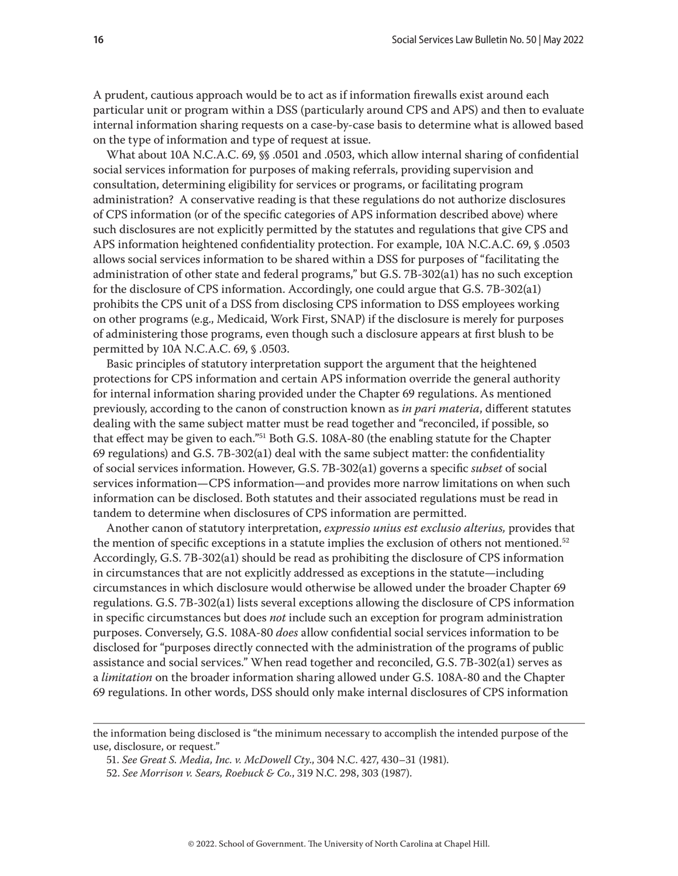A prudent, cautious approach would be to act as if information firewalls exist around each particular unit or program within a DSS (particularly around CPS and APS) and then to evaluate internal information sharing requests on a case-by-case basis to determine what is allowed based on the type of information and type of request at issue.

What about 10A N.C.A.C. 69, §§ .0501 and .0503, which allow internal sharing of confidential social services information for purposes of making referrals, providing supervision and consultation, determining eligibility for services or programs, or facilitating program administration? A conservative reading is that these regulations do not authorize disclosures of CPS information (or of the specific categories of APS information described above) where such disclosures are not explicitly permitted by the statutes and regulations that give CPS and APS information heightened confidentiality protection. For example, 10A N.C.A.C. 69, § .0503 allows social services information to be shared within a DSS for purposes of "facilitating the administration of other state and federal programs," but G.S. 7B-302(a1) has no such exception for the disclosure of CPS information. Accordingly, one could argue that G.S. 7B-302(a1) prohibits the CPS unit of a DSS from disclosing CPS information to DSS employees working on other programs (e.g., Medicaid, Work First, SNAP) if the disclosure is merely for purposes of administering those programs, even though such a disclosure appears at first blush to be permitted by 10A N.C.A.C. 69, § .0503.

Basic principles of statutory interpretation support the argument that the heightened protections for CPS information and certain APS information override the general authority for internal information sharing provided under the Chapter 69 regulations. As mentioned previously, according to the canon of construction known as *in pari materia*, different statutes dealing with the same subject matter must be read together and "reconciled, if possible, so that effect may be given to each."51 Both G.S. 108A-80 (the enabling statute for the Chapter 69 regulations) and G.S. 7B-302(a1) deal with the same subject matter: the confidentiality of social services information. However, G.S. 7B-302(a1) governs a specific *subset* of social services information—CPS information—and provides more narrow limitations on when such information can be disclosed. Both statutes and their associated regulations must be read in tandem to determine when disclosures of CPS information are permitted.

Another canon of statutory interpretation, *expressio unius est exclusio alterius,* provides that the mention of specific exceptions in a statute implies the exclusion of others not mentioned.<sup>52</sup> Accordingly, G.S. 7B-302(a1) should be read as prohibiting the disclosure of CPS information in circumstances that are not explicitly addressed as exceptions in the statute—including circumstances in which disclosure would otherwise be allowed under the broader Chapter 69 regulations. G.S. 7B-302(a1) lists several exceptions allowing the disclosure of CPS information in specific circumstances but does *not* include such an exception for program administration purposes. Conversely, G.S. 108A-80 *does* allow confidential social services information to be disclosed for "purposes directly connected with the administration of the programs of public assistance and social services." When read together and reconciled, G.S. 7B-302(a1) serves as a *limitation* on the broader information sharing allowed under G.S. 108A-80 and the Chapter 69 regulations. In other words, DSS should only make internal disclosures of CPS information

- 51. *See Great S. Media, Inc. v. McDowell Cty*., 304 N.C. 427, 430–31 (1981).
- 52. *See Morrison v. Sears, Roebuck & Co.*, 319 N.C. 298, 303 (1987).

the information being disclosed is "the minimum necessary to accomplish the intended purpose of the use, disclosure, or request."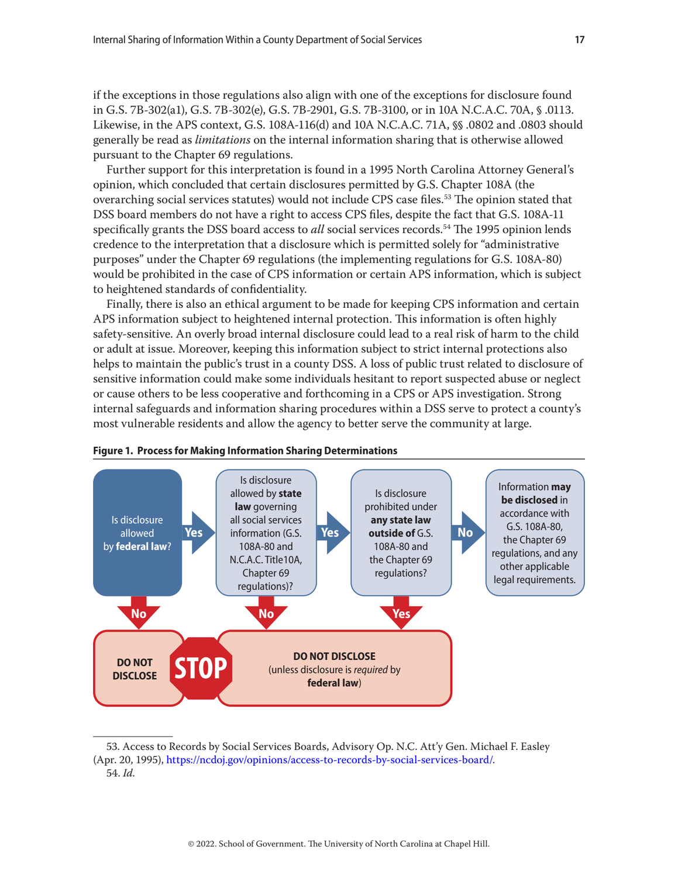if the exceptions in those regulations also align with one of the exceptions for disclosure found in G.S. 7B-302(a1), G.S. 7B-302(e), G.S. 7B-2901, G.S. 7B-3100, or in 10A N.C.A.C. 70A, § .0113. Likewise, in the APS context, G.S. 108A-116(d) and 10A N.C.A.C. 71A, §§ .0802 and .0803 should generally be read as *limitations* on the internal information sharing that is otherwise allowed pursuant to the Chapter 69 regulations.

Further support for this interpretation is found in a 1995 North Carolina Attorney General's opinion, which concluded that certain disclosures permitted by G.S. Chapter 108A (the overarching social services statutes) would not include CPS case files.53 The opinion stated that DSS board members do not have a right to access CPS files, despite the fact that G.S. 108A-11 specifically grants the DSS board access to *all* social services records.54 The 1995 opinion lends credence to the interpretation that a disclosure which is permitted solely for "administrative purposes" under the Chapter 69 regulations (the implementing regulations for G.S. 108A-80) would be prohibited in the case of CPS information or certain APS information, which is subject to heightened standards of confidentiality.

Finally, there is also an ethical argument to be made for keeping CPS information and certain APS information subject to heightened internal protection. This information is often highly safety-sensitive. An overly broad internal disclosure could lead to a real risk of harm to the child or adult at issue. Moreover, keeping this information subject to strict internal protections also helps to maintain the public's trust in a county DSS. A loss of public trust related to disclosure of sensitive information could make some individuals hesitant to report suspected abuse or neglect or cause others to be less cooperative and forthcoming in a CPS or APS investigation. Strong internal safeguards and information sharing procedures within a DSS serve to protect a county's most vulnerable residents and allow the agency to better serve the community at large.





<sup>53.</sup> Access to Records by Social Services Boards, Advisory Op. N.C. Att'y Gen. Michael F. Easley (Apr. 20, 1995), [https://ncdoj.gov/opinions/access-to-records-by-social-services-board/.](https://ncdoj.gov/opinions/access-to-records-by-social-services-board/) 54. *Id.*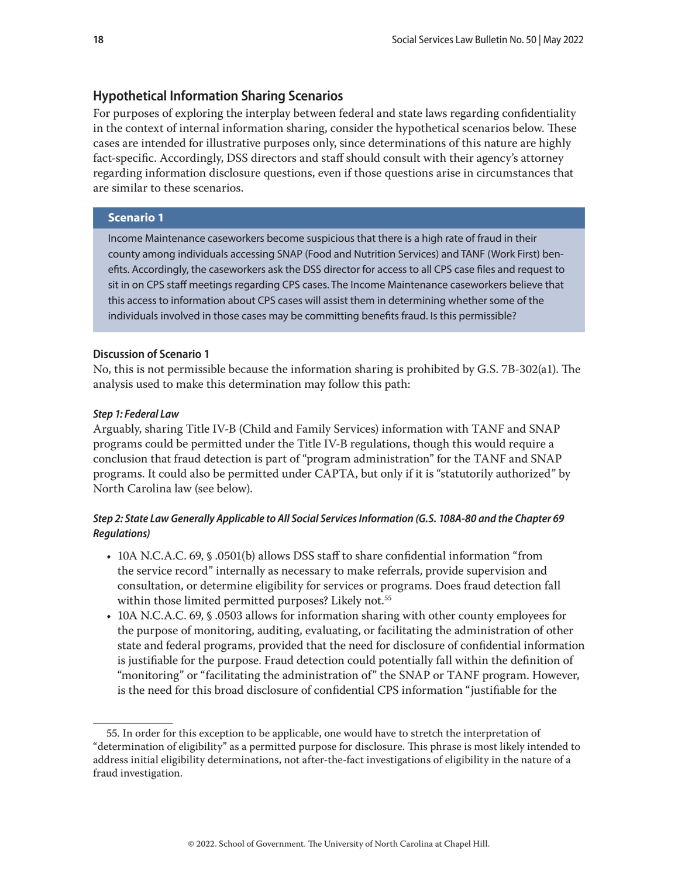## <span id="page-17-0"></span>**Hypothetical Information Sharing Scenarios**

For purposes of exploring the interplay between federal and state laws regarding confidentiality in the context of internal information sharing, consider the hypothetical scenarios below. These cases are intended for illustrative purposes only, since determinations of this nature are highly fact-specific. Accordingly, DSS directors and staff should consult with their agency's attorney regarding information disclosure questions, even if those questions arise in circumstances that are similar to these scenarios.

## **Scenario 1**

Income Maintenance caseworkers become suspicious that there is a high rate of fraud in their county among individuals accessing SNAP (Food and Nutrition Services) and TANF (Work First) benefits. Accordingly, the caseworkers ask the DSS director for access to all CPS case files and request to sit in on CPS staff meetings regarding CPS cases. The Income Maintenance caseworkers believe that this access to information about CPS cases will assist them in determining whether some of the individuals involved in those cases may be committing benefits fraud. Is this permissible?

#### **Discussion of Scenario 1**

No, this is not permissible because the information sharing is prohibited by G.S. 7B-302(a1). The analysis used to make this determination may follow this path:

#### *Step 1: Federal Law*

Arguably, sharing Title IV-B (Child and Family Services) information with TANF and SNAP programs could be permitted under the Title IV-B regulations, though this would require a conclusion that fraud detection is part of "program administration" for the TANF and SNAP programs. It could also be permitted under CAPTA, but only if it is "statutorily authorized" by North Carolina law (see below).

# *Step 2: State Law Generally Applicable to All Social Services Information (G.S. 108A-80 and the Chapter 69 Regulations)*

- 10A N.C.A.C. 69, § .0501(b) allows DSS staff to share confidential information "from the service record" internally as necessary to make referrals, provide supervision and consultation, or determine eligibility for services or programs. Does fraud detection fall within those limited permitted purposes? Likely not.<sup>55</sup>
- 10A N.C.A.C. 69, § .0503 allows for information sharing with other county employees for the purpose of monitoring, auditing, evaluating, or facilitating the administration of other state and federal programs, provided that the need for disclosure of confidential information is justifiable for the purpose. Fraud detection could potentially fall within the definition of "monitoring" or "facilitating the administration of" the SNAP or TANF program. However, is the need for this broad disclosure of confidential CPS information "justifiable for the

<sup>55.</sup> In order for this exception to be applicable, one would have to stretch the interpretation of "determination of eligibility" as a permitted purpose for disclosure. This phrase is most likely intended to address initial eligibility determinations, not after-the-fact investigations of eligibility in the nature of a fraud investigation.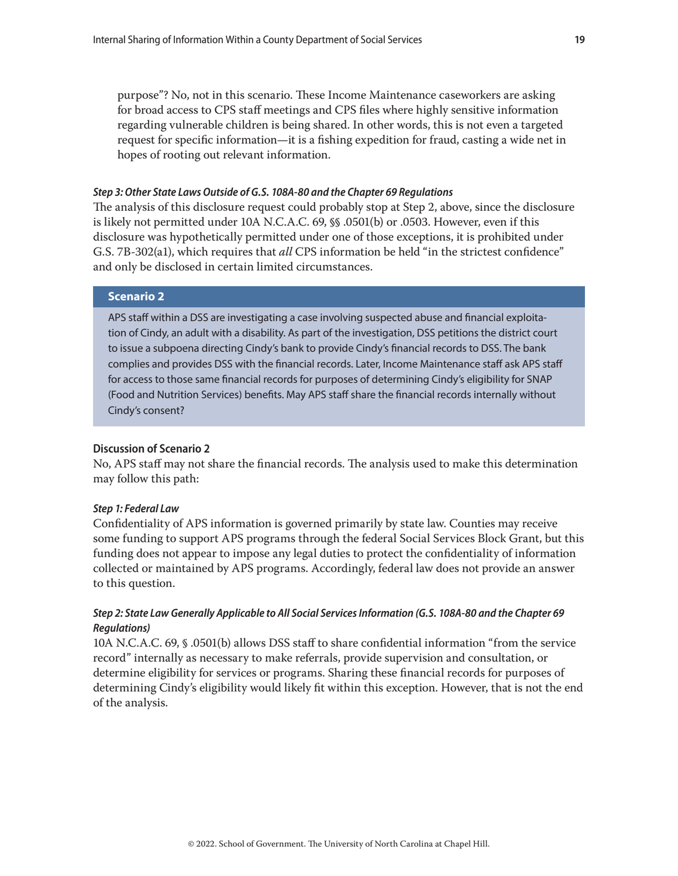<span id="page-18-0"></span>purpose"? No, not in this scenario. These Income Maintenance caseworkers are asking for broad access to CPS staff meetings and CPS files where highly sensitive information regarding vulnerable children is being shared. In other words, this is not even a targeted request for specific information—it is a fishing expedition for fraud, casting a wide net in hopes of rooting out relevant information.

#### *Step 3: Other State Laws Outside of G.S. 108A-80 and the Chapter 69 Regulations*

The analysis of this disclosure request could probably stop at Step 2, above, since the disclosure is likely not permitted under 10A N.C.A.C. 69, §§ .0501(b) or .0503. However, even if this disclosure was hypothetically permitted under one of those exceptions, it is prohibited under G.S. 7B-302(a1), which requires that *all* CPS information be held "in the strictest confidence" and only be disclosed in certain limited circumstances.

# **Scenario 2**

APS staff within a DSS are investigating a case involving suspected abuse and financial exploitation of Cindy, an adult with a disability. As part of the investigation, DSS petitions the district court to issue a subpoena directing Cindy's bank to provide Cindy's financial records to DSS. The bank complies and provides DSS with the financial records. Later, Income Maintenance staff ask APS staff for access to those same financial records for purposes of determining Cindy's eligibility for SNAP (Food and Nutrition Services) benefits. May APS staff share the financial records internally without Cindy's consent?

## **Discussion of Scenario 2**

No, APS staff may not share the financial records. The analysis used to make this determination may follow this path:

#### *Step 1: Federal Law*

Confidentiality of APS information is governed primarily by state law. Counties may receive some funding to support APS programs through the federal Social Services Block Grant, but this funding does not appear to impose any legal duties to protect the confidentiality of information collected or maintained by APS programs. Accordingly, federal law does not provide an answer to this question.

# *Step 2: State Law Generally Applicable to All Social Services Information (G.S. 108A-80 and the Chapter 69 Regulations)*

10A N.C.A.C. 69, § .0501(b) allows DSS staff to share confidential information "from the service record" internally as necessary to make referrals, provide supervision and consultation, or determine eligibility for services or programs. Sharing these financial records for purposes of determining Cindy's eligibility would likely fit within this exception. However, that is not the end of the analysis.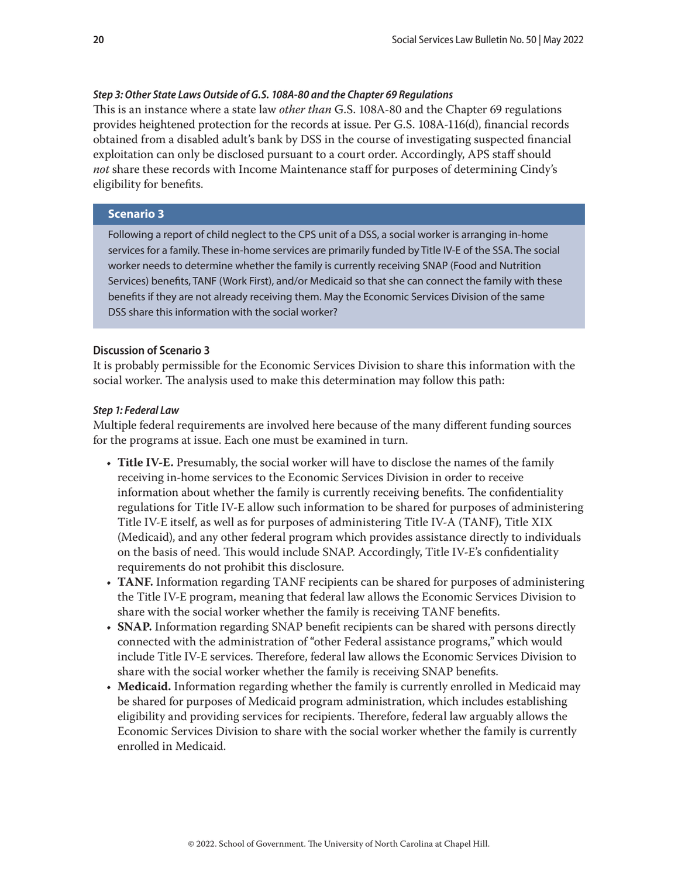# <span id="page-19-0"></span>*Step 3: Other State Laws Outside of G.S. 108A-80 and the Chapter 69 Regulations*

This is an instance where a state law *other than* G.S. 108A-80 and the Chapter 69 regulations provides heightened protection for the records at issue. Per G.S. 108A-116(d), financial records obtained from a disabled adult's bank by DSS in the course of investigating suspected financial exploitation can only be disclosed pursuant to a court order. Accordingly, APS staff should *not* share these records with Income Maintenance staff for purposes of determining Cindy's eligibility for benefits.

# **Scenario 3**

Following a report of child neglect to the CPS unit of a DSS, a social worker is arranging in-home services for a family. These in-home services are primarily funded by Title IV-E of the SSA. The social worker needs to determine whether the family is currently receiving SNAP (Food and Nutrition Services) benefits, TANF (Work First), and/or Medicaid so that she can connect the family with these benefits if they are not already receiving them. May the Economic Services Division of the same DSS share this information with the social worker?

# **Discussion of Scenario 3**

It is probably permissible for the Economic Services Division to share this information with the social worker. The analysis used to make this determination may follow this path:

# *Step 1: Federal Law*

Multiple federal requirements are involved here because of the many different funding sources for the programs at issue. Each one must be examined in turn.

- **Title IV-E.** Presumably, the social worker will have to disclose the names of the family receiving in-home services to the Economic Services Division in order to receive information about whether the family is currently receiving benefits. The confidentiality regulations for Title IV-E allow such information to be shared for purposes of administering Title IV-E itself, as well as for purposes of administering Title IV-A (TANF), Title XIX (Medicaid), and any other federal program which provides assistance directly to individuals on the basis of need. This would include SNAP. Accordingly, Title IV-E's confidentiality requirements do not prohibit this disclosure.
- **TANF.** Information regarding TANF recipients can be shared for purposes of administering the Title IV-E program, meaning that federal law allows the Economic Services Division to share with the social worker whether the family is receiving TANF benefits.
- **SNAP.** Information regarding SNAP benefit recipients can be shared with persons directly connected with the administration of "other Federal assistance programs," which would include Title IV-E services. Therefore, federal law allows the Economic Services Division to share with the social worker whether the family is receiving SNAP benefits.
- **Medicaid.** Information regarding whether the family is currently enrolled in Medicaid may be shared for purposes of Medicaid program administration, which includes establishing eligibility and providing services for recipients. Therefore, federal law arguably allows the Economic Services Division to share with the social worker whether the family is currently enrolled in Medicaid.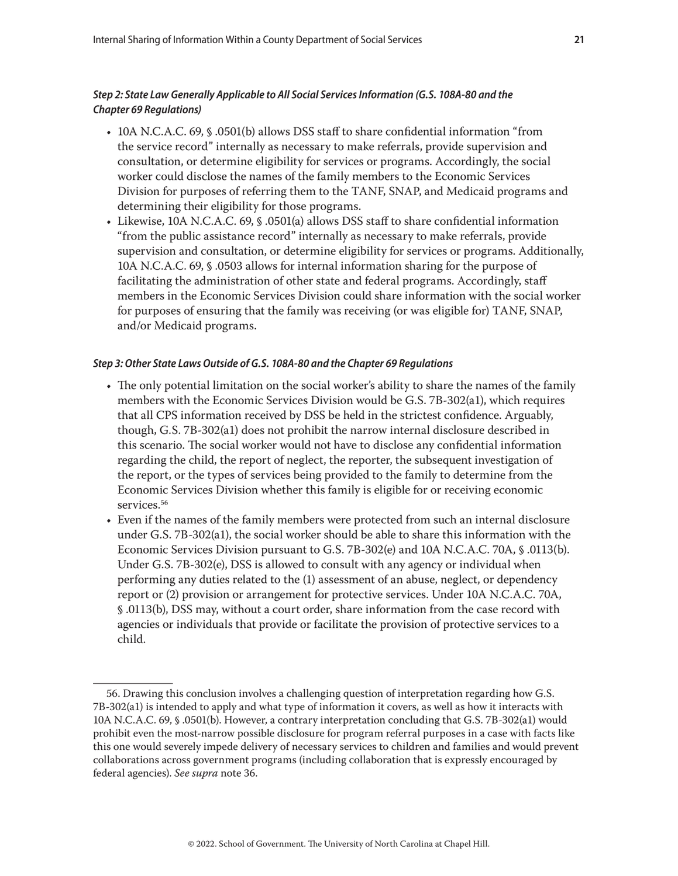# *Step 2: State Law Generally Applicable to All Social Services Information (G.S. 108A-80 and the Chapter 69 Regulations)*

- 10A N.C.A.C. 69, § .0501(b) allows DSS staff to share confidential information "from the service record" internally as necessary to make referrals, provide supervision and consultation, or determine eligibility for services or programs. Accordingly, the social worker could disclose the names of the family members to the Economic Services Division for purposes of referring them to the TANF, SNAP, and Medicaid programs and determining their eligibility for those programs.
- Likewise, 10A N.C.A.C. 69, § .0501(a) allows DSS staff to share confidential information "from the public assistance record" internally as necessary to make referrals, provide supervision and consultation, or determine eligibility for services or programs. Additionally, 10A N.C.A.C. 69, § .0503 allows for internal information sharing for the purpose of facilitating the administration of other state and federal programs. Accordingly, staff members in the Economic Services Division could share information with the social worker for purposes of ensuring that the family was receiving (or was eligible for) TANF, SNAP, and/or Medicaid programs.

## *Step 3: Other State Laws Outside of G.S. 108A-80 and the Chapter 69 Regulations*

- The only potential limitation on the social worker's ability to share the names of the family members with the Economic Services Division would be G.S. 7B-302(a1), which requires that all CPS information received by DSS be held in the strictest confidence. Arguably, though, G.S. 7B-302(a1) does not prohibit the narrow internal disclosure described in this scenario. The social worker would not have to disclose any confidential information regarding the child, the report of neglect, the reporter, the subsequent investigation of the report, or the types of services being provided to the family to determine from the Economic Services Division whether this family is eligible for or receiving economic services.<sup>56</sup>
- Even if the names of the family members were protected from such an internal disclosure under G.S. 7B-302(a1), the social worker should be able to share this information with the Economic Services Division pursuant to G.S. 7B-302(e) and 10A N.C.A.C. 70A, § .0113(b). Under G.S. 7B-302(e), DSS is allowed to consult with any agency or individual when performing any duties related to the (1) assessment of an abuse, neglect, or dependency report or (2) provision or arrangement for protective services. Under 10A N.C.A.C. 70A, § .0113(b), DSS may, without a court order, share information from the case record with agencies or individuals that provide or facilitate the provision of protective services to a child.

<sup>56.</sup> Drawing this conclusion involves a challenging question of interpretation regarding how G.S. 7B-302(a1) is intended to apply and what type of information it covers, as well as how it interacts with 10A N.C.A.C. 69, § .0501(b). However, a contrary interpretation concluding that G.S. 7B-302(a1) would prohibit even the most-narrow possible disclosure for program referral purposes in a case with facts like this one would severely impede delivery of necessary services to children and families and would prevent collaborations across government programs (including collaboration that is expressly encouraged by federal agencies). *See supra* note 36.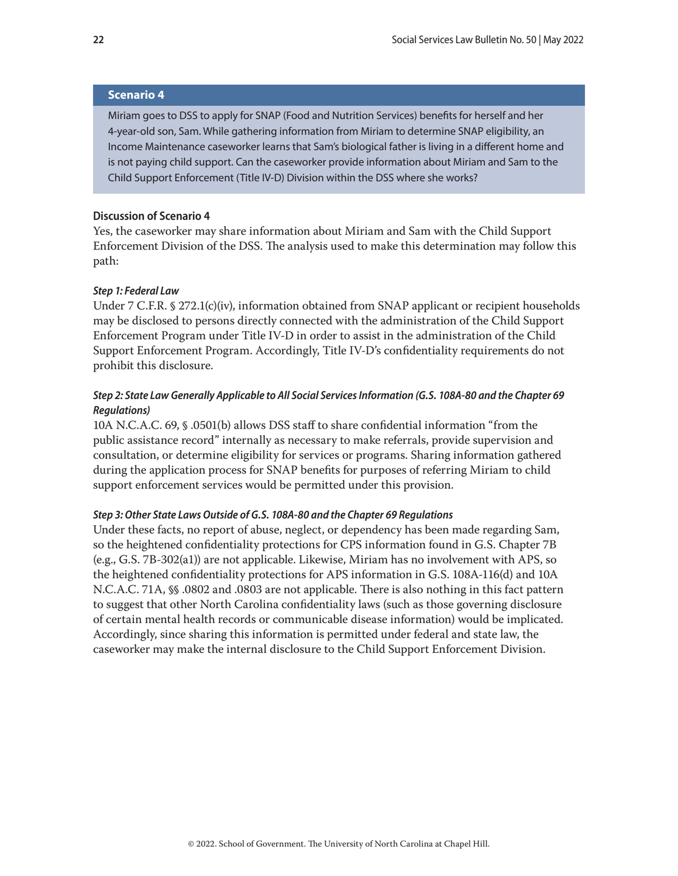## <span id="page-21-0"></span>**Scenario 4**

Miriam goes to DSS to apply for SNAP (Food and Nutrition Services) benefits for herself and her 4-year-old son, Sam. While gathering information from Miriam to determine SNAP eligibility, an Income Maintenance caseworker learns that Sam's biological father is living in a different home and is not paying child support. Can the caseworker provide information about Miriam and Sam to the Child Support Enforcement (Title IV-D) Division within the DSS where she works?

#### **Discussion of Scenario 4**

Yes, the caseworker may share information about Miriam and Sam with the Child Support Enforcement Division of the DSS. The analysis used to make this determination may follow this path:

#### *Step 1: Federal Law*

Under 7 C.F.R. § 272.1(c)(iv), information obtained from SNAP applicant or recipient households may be disclosed to persons directly connected with the administration of the Child Support Enforcement Program under Title IV-D in order to assist in the administration of the Child Support Enforcement Program. Accordingly, Title IV-D's confidentiality requirements do not prohibit this disclosure.

# *Step 2: State Law Generally Applicable to All Social Services Information (G.S. 108A-80 and the Chapter 69 Regulations)*

10A N.C.A.C. 69, § .0501(b) allows DSS staff to share confidential information "from the public assistance record" internally as necessary to make referrals, provide supervision and consultation, or determine eligibility for services or programs. Sharing information gathered during the application process for SNAP benefits for purposes of referring Miriam to child support enforcement services would be permitted under this provision.

## *Step 3: Other State Laws Outside of G.S. 108A-80 and the Chapter 69 Regulations*

Under these facts, no report of abuse, neglect, or dependency has been made regarding Sam, so the heightened confidentiality protections for CPS information found in G.S. Chapter 7B (e.g., G.S. 7B-302(a1)) are not applicable. Likewise, Miriam has no involvement with APS, so the heightened confidentiality protections for APS information in G.S. 108A-116(d) and 10A N.C.A.C. 71A, §§ .0802 and .0803 are not applicable. There is also nothing in this fact pattern to suggest that other North Carolina confidentiality laws (such as those governing disclosure of certain mental health records or communicable disease information) would be implicated. Accordingly, since sharing this information is permitted under federal and state law, the caseworker may make the internal disclosure to the Child Support Enforcement Division.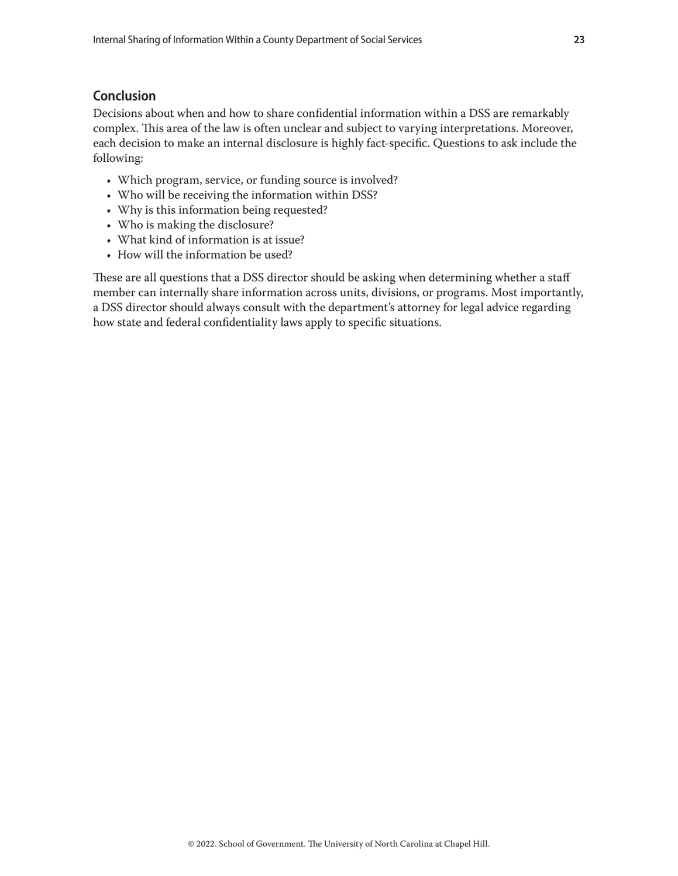# <span id="page-22-0"></span>**Conclusion**

Decisions about when and how to share confidential information within a DSS are remarkably complex. This area of the law is often unclear and subject to varying interpretations. Moreover, each decision to make an internal disclosure is highly fact-specific. Questions to ask include the following:

- Which program, service, or funding source is involved?
- Who will be receiving the information within DSS?
- Why is this information being requested?
- Who is making the disclosure?
- What kind of information is at issue?
- How will the information be used?

These are all questions that a DSS director should be asking when determining whether a staff member can internally share information across units, divisions, or programs. Most importantly, a DSS director should always consult with the department's attorney for legal advice regarding how state and federal confidentiality laws apply to specific situations.